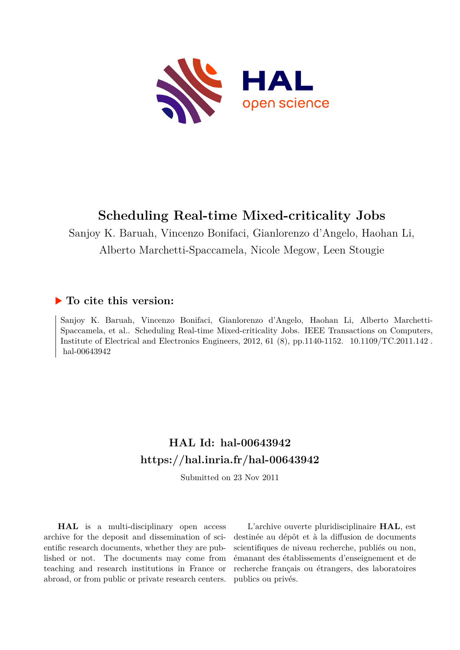

## **Scheduling Real-time Mixed-criticality Jobs**

Sanjoy K. Baruah, Vincenzo Bonifaci, Gianlorenzo d'Angelo, Haohan Li, Alberto Marchetti-Spaccamela, Nicole Megow, Leen Stougie

### **To cite this version:**

Sanjoy K. Baruah, Vincenzo Bonifaci, Gianlorenzo d'Angelo, Haohan Li, Alberto Marchetti-Spaccamela, et al.. Scheduling Real-time Mixed-criticality Jobs. IEEE Transactions on Computers, Institute of Electrical and Electronics Engineers, 2012, 61  $(8)$ , pp.1140-1152. 10.1109/TC.2011.142. hal-00643942

## **HAL Id: hal-00643942 <https://hal.inria.fr/hal-00643942>**

Submitted on 23 Nov 2011

**HAL** is a multi-disciplinary open access archive for the deposit and dissemination of scientific research documents, whether they are published or not. The documents may come from teaching and research institutions in France or abroad, or from public or private research centers.

L'archive ouverte pluridisciplinaire **HAL**, est destinée au dépôt et à la diffusion de documents scientifiques de niveau recherche, publiés ou non, émanant des établissements d'enseignement et de recherche français ou étrangers, des laboratoires publics ou privés.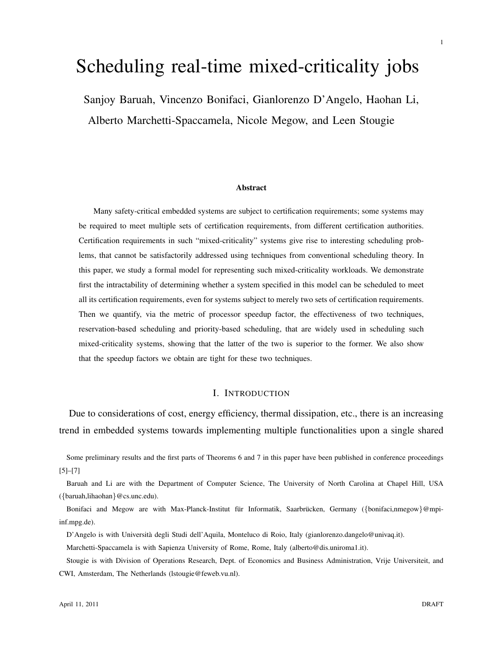# Scheduling real-time mixed-criticality jobs

Sanjoy Baruah, Vincenzo Bonifaci, Gianlorenzo D'Angelo, Haohan Li, Alberto Marchetti-Spaccamela, Nicole Megow, and Leen Stougie

#### Abstract

Many safety-critical embedded systems are subject to certification requirements; some systems may be required to meet multiple sets of certification requirements, from different certification authorities. Certification requirements in such "mixed-criticality" systems give rise to interesting scheduling problems, that cannot be satisfactorily addressed using techniques from conventional scheduling theory. In this paper, we study a formal model for representing such mixed-criticality workloads. We demonstrate first the intractability of determining whether a system specified in this model can be scheduled to meet all its certification requirements, even for systems subject to merely two sets of certification requirements. Then we quantify, via the metric of processor speedup factor, the effectiveness of two techniques, reservation-based scheduling and priority-based scheduling, that are widely used in scheduling such mixed-criticality systems, showing that the latter of the two is superior to the former. We also show that the speedup factors we obtain are tight for these two techniques.

#### I. INTRODUCTION

Due to considerations of cost, energy efficiency, thermal dissipation, etc., there is an increasing trend in embedded systems towards implementing multiple functionalities upon a single shared

Some preliminary results and the first parts of Theorems 6 and 7 in this paper have been published in conference proceedings [5]–[7]

Baruah and Li are with the Department of Computer Science, The University of North Carolina at Chapel Hill, USA ({baruah,lihaohan}@cs.unc.edu).

Bonifaci and Megow are with Max-Planck-Institut für Informatik, Saarbrücken, Germany ({bonifaci,nmegow}@mpiinf.mpg.de).

D'Angelo is with Università degli Studi dell'Aquila, Monteluco di Roio, Italy (gianlorenzo.dangelo@univaq.it).

Marchetti-Spaccamela is with Sapienza University of Rome, Rome, Italy (alberto@dis.uniroma1.it).

Stougie is with Division of Operations Research, Dept. of Economics and Business Administration, Vrije Universiteit, and CWI, Amsterdam, The Netherlands (lstougie@feweb.vu.nl).

1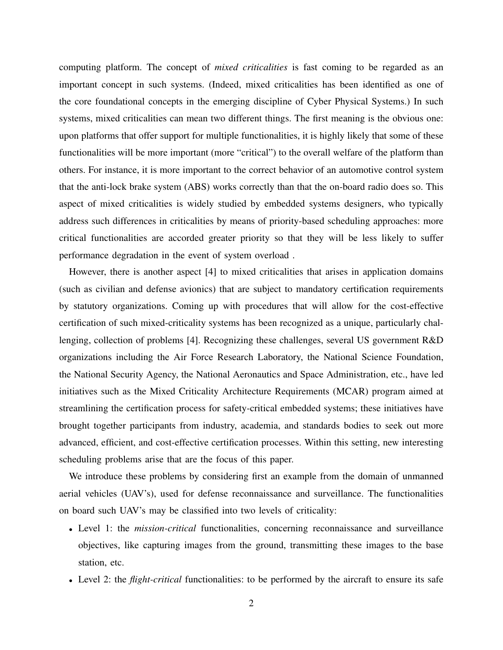computing platform. The concept of *mixed criticalities* is fast coming to be regarded as an important concept in such systems. (Indeed, mixed criticalities has been identified as one of the core foundational concepts in the emerging discipline of Cyber Physical Systems.) In such systems, mixed criticalities can mean two different things. The first meaning is the obvious one: upon platforms that offer support for multiple functionalities, it is highly likely that some of these functionalities will be more important (more "critical") to the overall welfare of the platform than others. For instance, it is more important to the correct behavior of an automotive control system that the anti-lock brake system (ABS) works correctly than that the on-board radio does so. This aspect of mixed criticalities is widely studied by embedded systems designers, who typically address such differences in criticalities by means of priority-based scheduling approaches: more critical functionalities are accorded greater priority so that they will be less likely to suffer performance degradation in the event of system overload .

However, there is another aspect [4] to mixed criticalities that arises in application domains (such as civilian and defense avionics) that are subject to mandatory certification requirements by statutory organizations. Coming up with procedures that will allow for the cost-effective certification of such mixed-criticality systems has been recognized as a unique, particularly challenging, collection of problems [4]. Recognizing these challenges, several US government R&D organizations including the Air Force Research Laboratory, the National Science Foundation, the National Security Agency, the National Aeronautics and Space Administration, etc., have led initiatives such as the Mixed Criticality Architecture Requirements (MCAR) program aimed at streamlining the certification process for safety-critical embedded systems; these initiatives have brought together participants from industry, academia, and standards bodies to seek out more advanced, efficient, and cost-effective certification processes. Within this setting, new interesting scheduling problems arise that are the focus of this paper.

We introduce these problems by considering first an example from the domain of unmanned aerial vehicles (UAV's), used for defense reconnaissance and surveillance. The functionalities on board such UAV's may be classified into two levels of criticality:

- Level 1: the *mission-critical* functionalities, concerning reconnaissance and surveillance objectives, like capturing images from the ground, transmitting these images to the base station, etc.
- Level 2: the *flight-critical* functionalities: to be performed by the aircraft to ensure its safe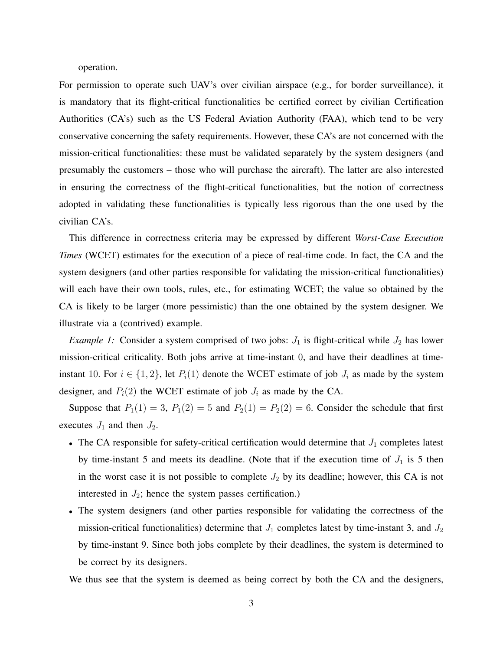operation.

For permission to operate such UAV's over civilian airspace (e.g., for border surveillance), it is mandatory that its flight-critical functionalities be certified correct by civilian Certification Authorities (CA's) such as the US Federal Aviation Authority (FAA), which tend to be very conservative concerning the safety requirements. However, these CA's are not concerned with the mission-critical functionalities: these must be validated separately by the system designers (and presumably the customers – those who will purchase the aircraft). The latter are also interested in ensuring the correctness of the flight-critical functionalities, but the notion of correctness adopted in validating these functionalities is typically less rigorous than the one used by the civilian CA's.

This difference in correctness criteria may be expressed by different *Worst-Case Execution Times* (WCET) estimates for the execution of a piece of real-time code. In fact, the CA and the system designers (and other parties responsible for validating the mission-critical functionalities) will each have their own tools, rules, etc., for estimating WCET; the value so obtained by the CA is likely to be larger (more pessimistic) than the one obtained by the system designer. We illustrate via a (contrived) example.

*Example 1:* Consider a system comprised of two jobs:  $J_1$  is flight-critical while  $J_2$  has lower mission-critical criticality. Both jobs arrive at time-instant 0, and have their deadlines at timeinstant 10. For  $i \in \{1,2\}$ , let  $P_i(1)$  denote the WCET estimate of job  $J_i$  as made by the system designer, and  $P_i(2)$  the WCET estimate of job  $J_i$  as made by the CA.

Suppose that  $P_1(1) = 3$ ,  $P_1(2) = 5$  and  $P_2(1) = P_2(2) = 6$ . Consider the schedule that first executes  $J_1$  and then  $J_2$ .

- The CA responsible for safety-critical certification would determine that  $J_1$  completes latest by time-instant 5 and meets its deadline. (Note that if the execution time of  $J_1$  is 5 then in the worst case it is not possible to complete  $J_2$  by its deadline; however, this CA is not interested in  $J_2$ ; hence the system passes certification.)
- The system designers (and other parties responsible for validating the correctness of the mission-critical functionalities) determine that  $J_1$  completes latest by time-instant 3, and  $J_2$ by time-instant 9. Since both jobs complete by their deadlines, the system is determined to be correct by its designers.

We thus see that the system is deemed as being correct by both the CA and the designers,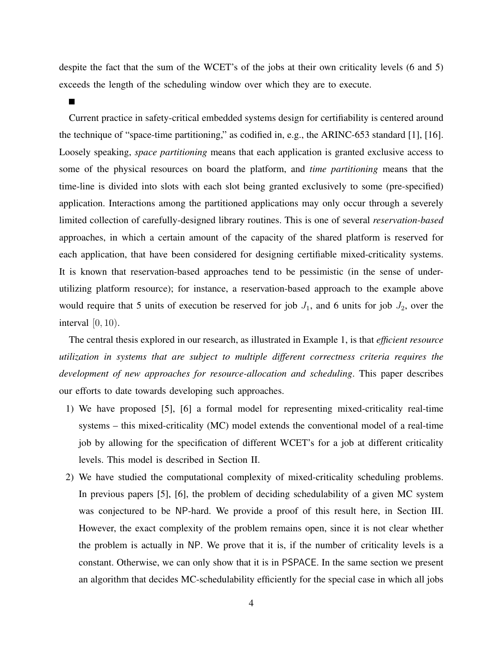despite the fact that the sum of the WCET's of the jobs at their own criticality levels (6 and 5) exceeds the length of the scheduling window over which they are to execute.

Current practice in safety-critical embedded systems design for certifiability is centered around the technique of "space-time partitioning," as codified in, e.g., the ARINC-653 standard [1], [16]. Loosely speaking, *space partitioning* means that each application is granted exclusive access to some of the physical resources on board the platform, and *time partitioning* means that the time-line is divided into slots with each slot being granted exclusively to some (pre-specified) application. Interactions among the partitioned applications may only occur through a severely limited collection of carefully-designed library routines. This is one of several *reservation-based* approaches, in which a certain amount of the capacity of the shared platform is reserved for each application, that have been considered for designing certifiable mixed-criticality systems. It is known that reservation-based approaches tend to be pessimistic (in the sense of underutilizing platform resource); for instance, a reservation-based approach to the example above would require that 5 units of execution be reserved for job  $J_1$ , and 6 units for job  $J_2$ , over the interval  $[0, 10)$ .

The central thesis explored in our research, as illustrated in Example 1, is that *efficient resource utilization in systems that are subject to multiple different correctness criteria requires the development of new approaches for resource-allocation and scheduling*. This paper describes our efforts to date towards developing such approaches.

- 1) We have proposed [5], [6] a formal model for representing mixed-criticality real-time systems – this mixed-criticality (MC) model extends the conventional model of a real-time job by allowing for the specification of different WCET's for a job at different criticality levels. This model is described in Section II.
- 2) We have studied the computational complexity of mixed-criticality scheduling problems. In previous papers [5], [6], the problem of deciding schedulability of a given MC system was conjectured to be NP-hard. We provide a proof of this result here, in Section III. However, the exact complexity of the problem remains open, since it is not clear whether the problem is actually in NP. We prove that it is, if the number of criticality levels is a constant. Otherwise, we can only show that it is in PSPACE. In the same section we present an algorithm that decides MC-schedulability efficiently for the special case in which all jobs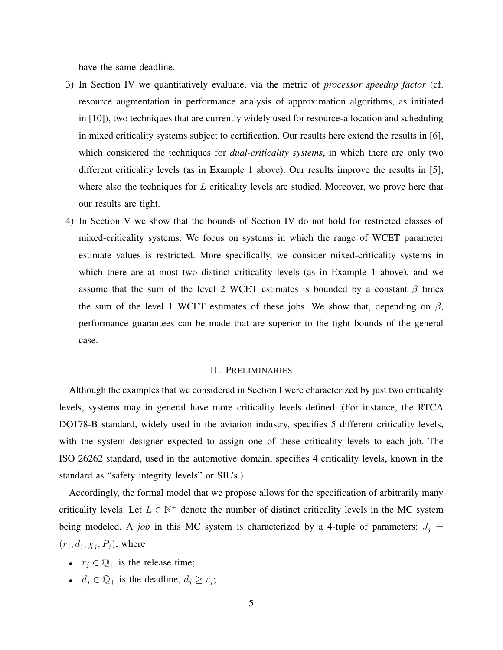have the same deadline.

- 3) In Section IV we quantitatively evaluate, via the metric of *processor speedup factor* (cf. resource augmentation in performance analysis of approximation algorithms, as initiated in [10]), two techniques that are currently widely used for resource-allocation and scheduling in mixed criticality systems subject to certification. Our results here extend the results in [6], which considered the techniques for *dual-criticality systems*, in which there are only two different criticality levels (as in Example 1 above). Our results improve the results in [5], where also the techniques for  $L$  criticality levels are studied. Moreover, we prove here that our results are tight.
- 4) In Section V we show that the bounds of Section IV do not hold for restricted classes of mixed-criticality systems. We focus on systems in which the range of WCET parameter estimate values is restricted. More specifically, we consider mixed-criticality systems in which there are at most two distinct criticality levels (as in Example 1 above), and we assume that the sum of the level 2 WCET estimates is bounded by a constant  $\beta$  times the sum of the level 1 WCET estimates of these jobs. We show that, depending on  $\beta$ , performance guarantees can be made that are superior to the tight bounds of the general case.

#### II. PRELIMINARIES

Although the examples that we considered in Section I were characterized by just two criticality levels, systems may in general have more criticality levels defined. (For instance, the RTCA DO178-B standard, widely used in the aviation industry, specifies 5 different criticality levels, with the system designer expected to assign one of these criticality levels to each job. The ISO 26262 standard, used in the automotive domain, specifies 4 criticality levels, known in the standard as "safety integrity levels" or SIL's.)

Accordingly, the formal model that we propose allows for the specification of arbitrarily many criticality levels. Let  $L \in \mathbb{N}^+$  denote the number of distinct criticality levels in the MC system being modeled. A *job* in this MC system is characterized by a 4-tuple of parameters:  $J_j =$  $(r_j, d_j, \chi_j, P_j)$ , where

- $r_j \in \mathbb{Q}_+$  is the release time;
- $d_j \in \mathbb{Q}_+$  is the deadline,  $d_j \ge r_j$ ;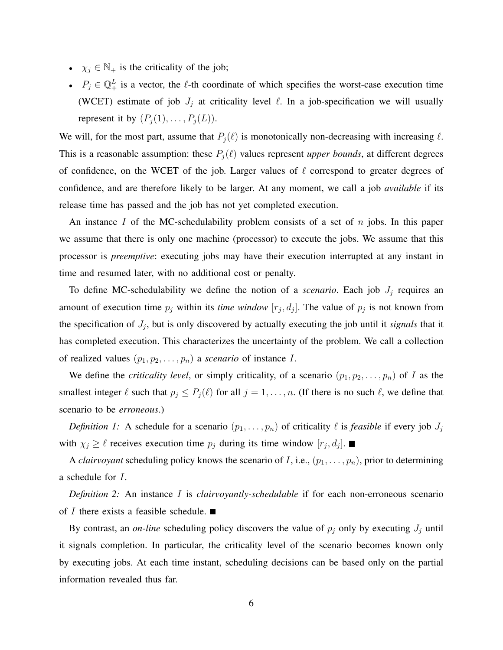- $\chi_j \in \mathbb{N}_+$  is the criticality of the job;
- $P_j \in \mathbb{Q}_+^L$  is a vector, the  $\ell$ -th coordinate of which specifies the worst-case execution time (WCET) estimate of job  $J_j$  at criticality level  $\ell$ . In a job-specification we will usually represent it by  $(P_j(1), \ldots, P_j(L))$ .

We will, for the most part, assume that  $P_j(\ell)$  is monotonically non-decreasing with increasing  $\ell$ . This is a reasonable assumption: these  $P_i(\ell)$  values represent *upper bounds*, at different degrees of confidence, on the WCET of the job. Larger values of  $\ell$  correspond to greater degrees of confidence, and are therefore likely to be larger. At any moment, we call a job *available* if its release time has passed and the job has not yet completed execution.

An instance I of the MC-schedulability problem consists of a set of  $n$  jobs. In this paper we assume that there is only one machine (processor) to execute the jobs. We assume that this processor is *preemptive*: executing jobs may have their execution interrupted at any instant in time and resumed later, with no additional cost or penalty.

To define MC-schedulability we define the notion of a *scenario*. Each job  $J_i$  requires an amount of execution time  $p_j$  within its *time window*  $[r_j, d_j]$ . The value of  $p_j$  is not known from the specification of  $J_j$ , but is only discovered by actually executing the job until it *signals* that it has completed execution. This characterizes the uncertainty of the problem. We call a collection of realized values  $(p_1, p_2, \ldots, p_n)$  a *scenario* of instance *I*.

We define the *criticality level*, or simply criticality, of a scenario  $(p_1, p_2, \ldots, p_n)$  of I as the smallest integer  $\ell$  such that  $p_j \leq P_j(\ell)$  for all  $j = 1, ..., n$ . (If there is no such  $\ell$ , we define that scenario to be *erroneous*.)

*Definition 1:* A schedule for a scenario  $(p_1, \ldots, p_n)$  of criticality  $\ell$  is *feasible* if every job  $J_j$ with  $\chi_j \geq \ell$  receives execution time  $p_j$  during its time window  $[r_j, d_j]$ .

A *clairvoyant* scheduling policy knows the scenario of *I*, i.e.,  $(p_1, \ldots, p_n)$ , prior to determining a schedule for I.

*Definition 2:* An instance I is *clairvoyantly-schedulable* if for each non-erroneous scenario of *I* there exists a feasible schedule.  $\blacksquare$ 

By contrast, an *on-line* scheduling policy discovers the value of  $p_j$  only by executing  $J_j$  until it signals completion. In particular, the criticality level of the scenario becomes known only by executing jobs. At each time instant, scheduling decisions can be based only on the partial information revealed thus far.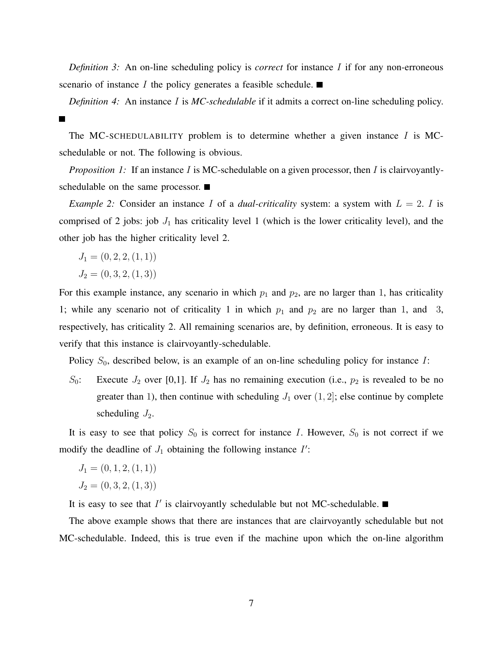*Definition 3:* An on-line scheduling policy is *correct* for instance I if for any non-erroneous scenario of instance I the policy generates a feasible schedule.  $\blacksquare$ 

*Definition 4:* An instance I is *MC-schedulable* if it admits a correct on-line scheduling policy.

The MC-SCHEDULABILITY problem is to determine whether a given instance  $I$  is MCschedulable or not. The following is obvious.

*Proposition 1:* If an instance *I* is MC-schedulable on a given processor, then *I* is clairvoyantlyschedulable on the same processor.

*Example 2:* Consider an instance I of a *dual-criticality* system: a system with  $L = 2$ . I is comprised of 2 jobs: job  $J_1$  has criticality level 1 (which is the lower criticality level), and the other job has the higher criticality level 2.

$$
J_1 = (0, 2, 2, (1, 1))
$$

$$
J_2 = (0, 3, 2, (1, 3))
$$

For this example instance, any scenario in which  $p_1$  and  $p_2$ , are no larger than 1, has criticality 1; while any scenario not of criticality 1 in which  $p_1$  and  $p_2$  are no larger than 1, and 3, respectively, has criticality 2. All remaining scenarios are, by definition, erroneous. It is easy to verify that this instance is clairvoyantly-schedulable.

Policy  $S_0$ , described below, is an example of an on-line scheduling policy for instance I:

 $S_0$ : Execute  $J_2$  over [0,1]. If  $J_2$  has no remaining execution (i.e.,  $p_2$  is revealed to be no greater than 1), then continue with scheduling  $J_1$  over  $(1, 2]$ ; else continue by complete scheduling  $J_2$ .

It is easy to see that policy  $S_0$  is correct for instance I. However,  $S_0$  is not correct if we modify the deadline of  $J_1$  obtaining the following instance  $I'$ :

$$
J_1 = (0, 1, 2, (1, 1))
$$

$$
J_2 = (0, 3, 2, (1, 3))
$$

It is easy to see that  $I'$  is clairvoyantly schedulable but not MC-schedulable.

The above example shows that there are instances that are clairvoyantly schedulable but not MC-schedulable. Indeed, this is true even if the machine upon which the on-line algorithm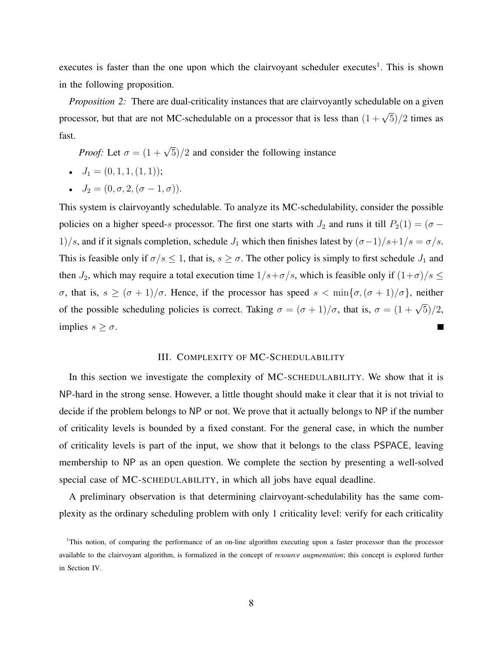executes is faster than the one upon which the clairvoyant scheduler executes<sup>1</sup>. This is shown in the following proposition.

*Proposition 2:* There are dual-criticality instances that are clairvoyantly schedulable on a given processor, but that are not MC-schedulable on a processor that is less than  $(1 + \sqrt{5})/2$  times as fast.

*Proof:* Let  $\sigma = (1 + \sqrt{5})/2$  and consider the following instance

- $J_1 = (0, 1, 1, (1, 1));$
- $J_2 = (0, \sigma, 2, (\sigma 1, \sigma)).$

This system is clairvoyantly schedulable. To analyze its MC-schedulability, consider the possible policies on a higher speed-s processor. The first one starts with  $J_2$  and runs it till  $P_2(1) = (\sigma -$ 1)/s, and if it signals completion, schedule  $J_1$  which then finishes latest by  $(\sigma-1)/s+1/s = \sigma/s$ . This is feasible only if  $\sigma/s \leq 1$ , that is,  $s \geq \sigma$ . The other policy is simply to first schedule  $J_1$  and then  $J_2$ , which may require a total execution time  $1/s + \sigma/s$ , which is feasible only if  $(1+\sigma)/s \leq$ σ, that is,  $s \geq (\sigma + 1)/\sigma$ . Hence, if the processor has speed  $s < \min{\lbrace \sigma, (\sigma + 1)/\sigma \rbrace}$ , neither of the possible scheduling policies is correct. Taking  $\sigma = (\sigma + 1)/\sigma$ , that is,  $\sigma = (1 + \sqrt{5})/2$ , implies  $s \geq \sigma$ . Г

#### III. COMPLEXITY OF MC-SCHEDULABILITY

In this section we investigate the complexity of MC-SCHEDULABILITY. We show that it is NP-hard in the strong sense. However, a little thought should make it clear that it is not trivial to decide if the problem belongs to NP or not. We prove that it actually belongs to NP if the number of criticality levels is bounded by a fixed constant. For the general case, in which the number of criticality levels is part of the input, we show that it belongs to the class PSPACE, leaving membership to NP as an open question. We complete the section by presenting a well-solved special case of MC-SCHEDULABILITY, in which all jobs have equal deadline.

A preliminary observation is that determining clairvoyant-schedulability has the same complexity as the ordinary scheduling problem with only 1 criticality level: verify for each criticality

<sup>&</sup>lt;sup>1</sup>This notion, of comparing the performance of an on-line algorithm executing upon a faster processor than the processor available to the clairvoyant algorithm, is formalized in the concept of *resource augmentation*; this concept is explored further in Section IV.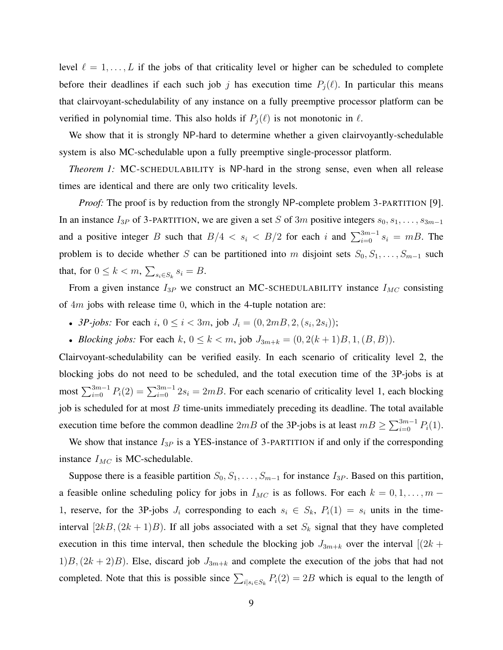level  $\ell = 1, \ldots, L$  if the jobs of that criticality level or higher can be scheduled to complete before their deadlines if each such job j has execution time  $P_i(\ell)$ . In particular this means that clairvoyant-schedulability of any instance on a fully preemptive processor platform can be verified in polynomial time. This also holds if  $P_i(\ell)$  is not monotonic in  $\ell$ .

We show that it is strongly NP-hard to determine whether a given clairvoyantly-schedulable system is also MC-schedulable upon a fully preemptive single-processor platform.

*Theorem 1:* MC-SCHEDULABILITY is NP-hard in the strong sense, even when all release times are identical and there are only two criticality levels.

*Proof:* The proof is by reduction from the strongly NP-complete problem 3-PARTITION [9]. In an instance  $I_{3P}$  of 3-PARTITION, we are given a set S of 3m positive integers  $s_0, s_1, \ldots, s_{3m-1}$ and a positive integer B such that  $B/4 < s_i < B/2$  for each i and  $\sum_{i=0}^{3m-1} s_i = mB$ . The problem is to decide whether S can be partitioned into m disjoint sets  $S_0, S_1, \ldots, S_{m-1}$  such that, for  $0 \leq k < m$ ,  $\sum_{s_i \in S_k} s_i = B$ .

From a given instance  $I_{3P}$  we construct an MC-SCHEDULABILITY instance  $I_{MC}$  consisting of  $4m$  jobs with release time 0, which in the 4-tuple notation are:

- *3P-jobs:* For each  $i, 0 \le i < 3m$ , job  $J_i = (0, 2mB, 2, (s_i, 2s_i))$ ;
- *Blocking jobs:* For each  $k, 0 \le k < m$ , job  $J_{3m+k} = (0, 2(k+1)B, 1, (B, B)).$

Clairvoyant-schedulability can be verified easily. In each scenario of criticality level 2, the blocking jobs do not need to be scheduled, and the total execution time of the 3P-jobs is at most  $\sum_{i=0}^{3m-1} P_i(2) = \sum_{i=0}^{3m-1} 2s_i = 2mB$ . For each scenario of criticality level 1, each blocking job is scheduled for at most  $B$  time-units immediately preceding its deadline. The total available execution time before the common deadline  $2mB$  of the 3P-jobs is at least  $mB \ge \sum_{i=0}^{3m-1} P_i(1)$ .

We show that instance  $I_{3P}$  is a YES-instance of 3-PARTITION if and only if the corresponding instance  $I_{MC}$  is MC-schedulable.

Suppose there is a feasible partition  $S_0, S_1, \ldots, S_{m-1}$  for instance  $I_{3P}$ . Based on this partition, a feasible online scheduling policy for jobs in  $I_{MC}$  is as follows. For each  $k = 0, 1, \ldots, m - 1$ 1, reserve, for the 3P-jobs  $J_i$  corresponding to each  $s_i \in S_k$ ,  $P_i(1) = s_i$  units in the timeinterval  $[2kB,(2k+1)B)$ . If all jobs associated with a set  $S_k$  signal that they have completed execution in this time interval, then schedule the blocking job  $J_{3m+k}$  over the interval  $[(2k +$  $1)B$ ,  $(2k+2)B$ ). Else, discard job  $J_{3m+k}$  and complete the execution of the jobs that had not completed. Note that this is possible since  $\sum_{i|s_i \in S_k} P_i(2) = 2B$  which is equal to the length of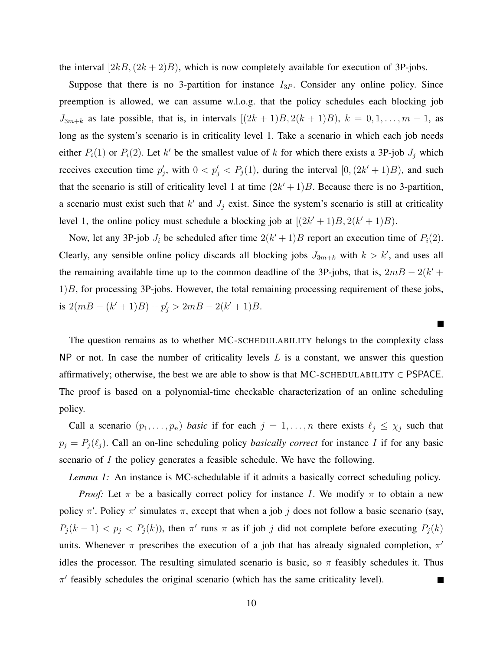the interval  $[2kB,(2k+2)B)$ , which is now completely available for execution of 3P-jobs.

Suppose that there is no 3-partition for instance  $I_{3P}$ . Consider any online policy. Since preemption is allowed, we can assume w.l.o.g. that the policy schedules each blocking job  $J_{3m+k}$  as late possible, that is, in intervals  $[(2k+1)B, 2(k+1)B), k = 0, 1, \ldots, m-1$ , as long as the system's scenario is in criticality level 1. Take a scenario in which each job needs either  $P_i(1)$  or  $P_i(2)$ . Let k' be the smallest value of k for which there exists a 3P-job  $J_j$  which receives execution time  $p'_j$ , with  $0 < p'_j < P_j(1)$ , during the interval  $[0, (2k'+1)B)$ , and such that the scenario is still of criticality level 1 at time  $(2k' + 1)B$ . Because there is no 3-partition, a scenario must exist such that  $k'$  and  $J_j$  exist. Since the system's scenario is still at criticality level 1, the online policy must schedule a blocking job at  $[(2k'+1)B, 2(k'+1)B)$ .

Now, let any 3P-job  $J_i$  be scheduled after time  $2(k'+1)B$  report an execution time of  $P_i(2)$ . Clearly, any sensible online policy discards all blocking jobs  $J_{3m+k}$  with  $k > k'$ , and uses all the remaining available time up to the common deadline of the 3P-jobs, that is,  $2mB - 2(k' +$  $1)B$ , for processing 3P-jobs. However, the total remaining processing requirement of these jobs, is  $2(mB - (k'+1)B) + p'_j > 2mB - 2(k'+1)B$ .

П

The question remains as to whether MC-SCHEDULABILITY belongs to the complexity class NP or not. In case the number of criticality levels  $L$  is a constant, we answer this question affirmatively; otherwise, the best we are able to show is that MC-SCHEDULABILITY  $\in$  PSPACE. The proof is based on a polynomial-time checkable characterization of an online scheduling policy.

Call a scenario  $(p_1, \ldots, p_n)$  *basic* if for each  $j = 1, \ldots, n$  there exists  $\ell_j \leq \chi_j$  such that  $p_j = P_j(\ell_j)$ . Call an on-line scheduling policy *basically correct* for instance I if for any basic scenario of *I* the policy generates a feasible schedule. We have the following.

*Lemma 1:* An instance is MC-schedulable if it admits a basically correct scheduling policy.

*Proof:* Let  $\pi$  be a basically correct policy for instance I. We modify  $\pi$  to obtain a new policy  $\pi'$ . Policy  $\pi'$  simulates  $\pi$ , except that when a job j does not follow a basic scenario (say,  $P_j(k-1) < p_j < P_j(k)$ ), then  $\pi'$  runs  $\pi$  as if job j did not complete before executing  $P_j(k)$ units. Whenever  $\pi$  prescribes the execution of a job that has already signaled completion,  $\pi'$ idles the processor. The resulting simulated scenario is basic, so  $\pi$  feasibly schedules it. Thus  $\pi'$  feasibly schedules the original scenario (which has the same criticality level).  $\blacksquare$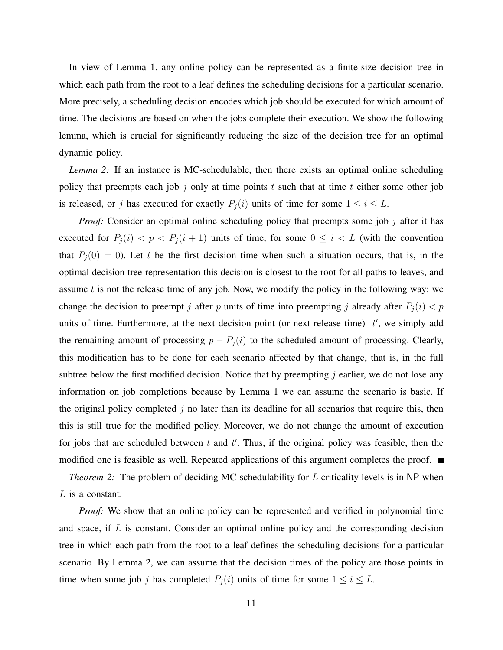In view of Lemma 1, any online policy can be represented as a finite-size decision tree in which each path from the root to a leaf defines the scheduling decisions for a particular scenario. More precisely, a scheduling decision encodes which job should be executed for which amount of time. The decisions are based on when the jobs complete their execution. We show the following lemma, which is crucial for significantly reducing the size of the decision tree for an optimal dynamic policy.

*Lemma 2:* If an instance is MC-schedulable, then there exists an optimal online scheduling policy that preempts each job j only at time points t such that at time t either some other job is released, or j has executed for exactly  $P_j(i)$  units of time for some  $1 \le i \le L$ .

*Proof:* Consider an optimal online scheduling policy that preempts some job j after it has executed for  $P_j(i) < p < P_j(i + 1)$  units of time, for some  $0 \le i < L$  (with the convention that  $P_j(0) = 0$ . Let t be the first decision time when such a situation occurs, that is, in the optimal decision tree representation this decision is closest to the root for all paths to leaves, and assume  $t$  is not the release time of any job. Now, we modify the policy in the following way: we change the decision to preempt j after p units of time into preempting j already after  $P_i(i) < p$ units of time. Furthermore, at the next decision point (or next release time)  $t'$ , we simply add the remaining amount of processing  $p - P_j(i)$  to the scheduled amount of processing. Clearly, this modification has to be done for each scenario affected by that change, that is, in the full subtree below the first modified decision. Notice that by preempting  $\dot{\gamma}$  earlier, we do not lose any information on job completions because by Lemma 1 we can assume the scenario is basic. If the original policy completed  $j$  no later than its deadline for all scenarios that require this, then this is still true for the modified policy. Moreover, we do not change the amount of execution for jobs that are scheduled between  $t$  and  $t'$ . Thus, if the original policy was feasible, then the modified one is feasible as well. Repeated applications of this argument completes the proof.  $\blacksquare$ 

*Theorem 2:* The problem of deciding MC-schedulability for L criticality levels is in NP when L is a constant.

*Proof:* We show that an online policy can be represented and verified in polynomial time and space, if  $L$  is constant. Consider an optimal online policy and the corresponding decision tree in which each path from the root to a leaf defines the scheduling decisions for a particular scenario. By Lemma 2, we can assume that the decision times of the policy are those points in time when some job j has completed  $P_j(i)$  units of time for some  $1 \le i \le L$ .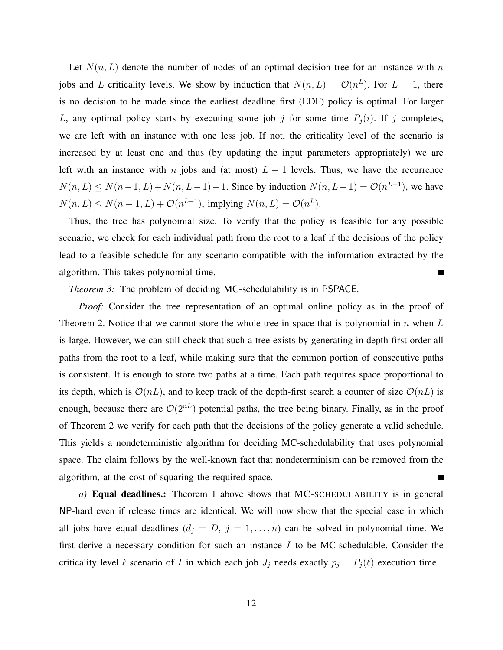Let  $N(n, L)$  denote the number of nodes of an optimal decision tree for an instance with n jobs and L criticality levels. We show by induction that  $N(n,L) = \mathcal{O}(n^L)$ . For  $L = 1$ , there is no decision to be made since the earliest deadline first (EDF) policy is optimal. For larger L, any optimal policy starts by executing some job j for some time  $P_i(i)$ . If j completes, we are left with an instance with one less job. If not, the criticality level of the scenario is increased by at least one and thus (by updating the input parameters appropriately) we are left with an instance with n jobs and (at most)  $L - 1$  levels. Thus, we have the recurrence  $N(n, L) \le N(n-1, L) + N(n, L-1) + 1$ . Since by induction  $N(n, L-1) = \mathcal{O}(n^{L-1})$ , we have  $N(n, L) \le N(n - 1, L) + \mathcal{O}(n^{L-1}),$  implying  $N(n, L) = \mathcal{O}(n^L)$ .

Thus, the tree has polynomial size. To verify that the policy is feasible for any possible scenario, we check for each individual path from the root to a leaf if the decisions of the policy lead to a feasible schedule for any scenario compatible with the information extracted by the algorithm. This takes polynomial time.

*Theorem 3:* The problem of deciding MC-schedulability is in PSPACE.

*Proof:* Consider the tree representation of an optimal online policy as in the proof of Theorem 2. Notice that we cannot store the whole tree in space that is polynomial in  $n$  when  $L$ is large. However, we can still check that such a tree exists by generating in depth-first order all paths from the root to a leaf, while making sure that the common portion of consecutive paths is consistent. It is enough to store two paths at a time. Each path requires space proportional to its depth, which is  $\mathcal{O}(nL)$ , and to keep track of the depth-first search a counter of size  $\mathcal{O}(nL)$  is enough, because there are  $\mathcal{O}(2^{n})$  potential paths, the tree being binary. Finally, as in the proof of Theorem 2 we verify for each path that the decisions of the policy generate a valid schedule. This yields a nondeterministic algorithm for deciding MC-schedulability that uses polynomial space. The claim follows by the well-known fact that nondeterminism can be removed from the algorithm, at the cost of squaring the required space. Г

*a)* Equal deadlines.: Theorem 1 above shows that MC-SCHEDULABILITY is in general NP-hard even if release times are identical. We will now show that the special case in which all jobs have equal deadlines  $(d_j = D, j = 1, \ldots, n)$  can be solved in polynomial time. We first derive a necessary condition for such an instance  $I$  to be MC-schedulable. Consider the criticality level  $\ell$  scenario of I in which each job  $J_j$  needs exactly  $p_j = P_j(\ell)$  execution time.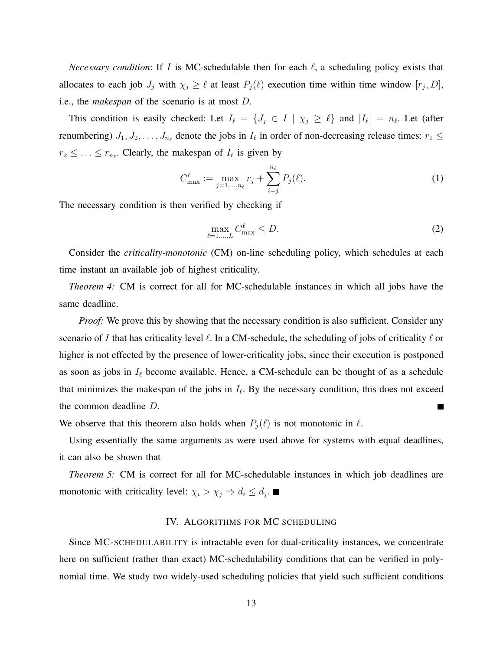*Necessary condition*: If I is MC-schedulable then for each  $\ell$ , a scheduling policy exists that allocates to each job  $J_j$  with  $\chi_j \geq \ell$  at least  $P_j(\ell)$  execution time within time window  $[r_j, D]$ , i.e., the *makespan* of the scenario is at most D.

This condition is easily checked: Let  $I_\ell = \{J_j \in I | \chi_j \geq \ell\}$  and  $|I_\ell| = n_\ell$ . Let (after renumbering)  $J_1, J_2, \ldots, J_{n_\ell}$  denote the jobs in  $I_\ell$  in order of non-decreasing release times:  $r_1 \leq$  $r_2 \leq \ldots \leq r_{n_\ell}$ . Clearly, the makespan of  $I_\ell$  is given by

$$
C_{\max}^{\ell} := \max_{j=1,\dots,n_{\ell}} r_j + \sum_{i=j}^{n_{\ell}} P_j(\ell).
$$
 (1)

The necessary condition is then verified by checking if

$$
\max_{\ell=1,\dots,L} C_{\max}^{\ell} \le D. \tag{2}
$$

Consider the *criticality-monotonic* (CM) on-line scheduling policy, which schedules at each time instant an available job of highest criticality.

*Theorem 4:* CM is correct for all for MC-schedulable instances in which all jobs have the same deadline.

*Proof:* We prove this by showing that the necessary condition is also sufficient. Consider any scenario of I that has criticality level  $\ell$ . In a CM-schedule, the scheduling of jobs of criticality  $\ell$  or higher is not effected by the presence of lower-criticality jobs, since their execution is postponed as soon as jobs in  $I_\ell$  become available. Hence, a CM-schedule can be thought of as a schedule that minimizes the makespan of the jobs in  $I_\ell$ . By the necessary condition, this does not exceed the common deadline D.  $\blacksquare$ 

We observe that this theorem also holds when  $P_i(\ell)$  is not monotonic in  $\ell$ .

Using essentially the same arguments as were used above for systems with equal deadlines, it can also be shown that

*Theorem 5:* CM is correct for all for MC-schedulable instances in which job deadlines are monotonic with criticality level:  $\chi_i > \chi_j \Rightarrow d_i \leq d_j$ .

#### IV. ALGORITHMS FOR MC SCHEDULING

Since MC-SCHEDULABILITY is intractable even for dual-criticality instances, we concentrate here on sufficient (rather than exact) MC-schedulability conditions that can be verified in polynomial time. We study two widely-used scheduling policies that yield such sufficient conditions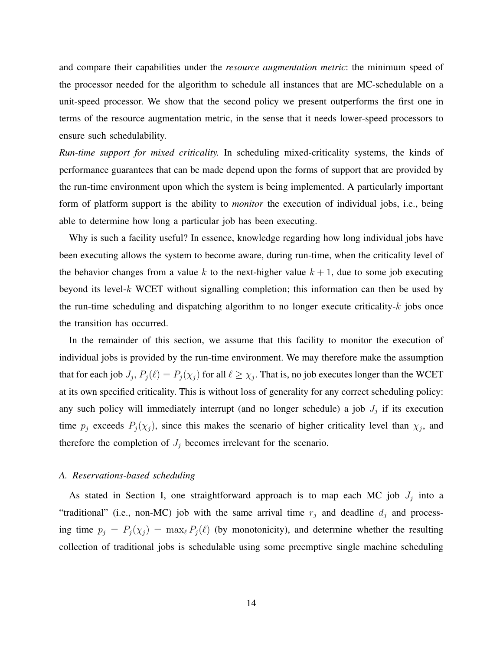and compare their capabilities under the *resource augmentation metric*: the minimum speed of the processor needed for the algorithm to schedule all instances that are MC-schedulable on a unit-speed processor. We show that the second policy we present outperforms the first one in terms of the resource augmentation metric, in the sense that it needs lower-speed processors to ensure such schedulability.

*Run-time support for mixed criticality.* In scheduling mixed-criticality systems, the kinds of performance guarantees that can be made depend upon the forms of support that are provided by the run-time environment upon which the system is being implemented. A particularly important form of platform support is the ability to *monitor* the execution of individual jobs, i.e., being able to determine how long a particular job has been executing.

Why is such a facility useful? In essence, knowledge regarding how long individual jobs have been executing allows the system to become aware, during run-time, when the criticality level of the behavior changes from a value k to the next-higher value  $k + 1$ , due to some job executing beyond its level- $k$  WCET without signalling completion; this information can then be used by the run-time scheduling and dispatching algorithm to no longer execute criticality- $k$  jobs once the transition has occurred.

In the remainder of this section, we assume that this facility to monitor the execution of individual jobs is provided by the run-time environment. We may therefore make the assumption that for each job  $J_j$ ,  $P_j(\ell) = P_j(\chi_j)$  for all  $\ell \geq \chi_j$ . That is, no job executes longer than the WCET at its own specified criticality. This is without loss of generality for any correct scheduling policy: any such policy will immediately interrupt (and no longer schedule) a job  $J_j$  if its execution time  $p_j$  exceeds  $P_j(\chi_j)$ , since this makes the scenario of higher criticality level than  $\chi_j$ , and therefore the completion of  $J_j$  becomes irrelevant for the scenario.

#### *A. Reservations-based scheduling*

As stated in Section I, one straightforward approach is to map each MC job  $J_j$  into a "traditional" (i.e., non-MC) job with the same arrival time  $r_j$  and deadline  $d_j$  and processing time  $p_j = P_j(\chi_j) = \max_{\ell} P_j(\ell)$  (by monotonicity), and determine whether the resulting collection of traditional jobs is schedulable using some preemptive single machine scheduling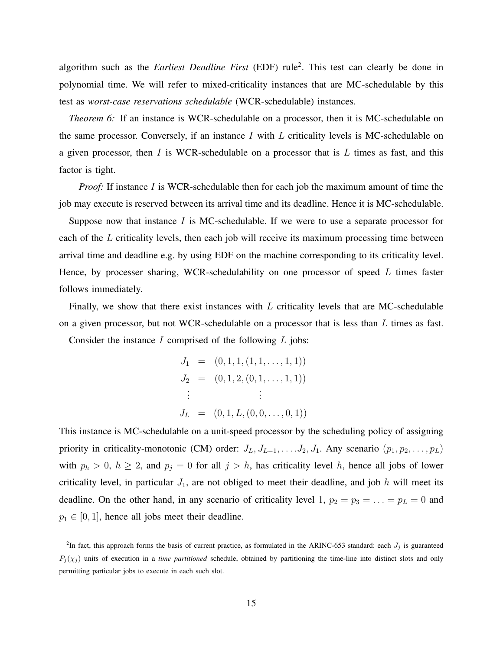algorithm such as the *Earliest Deadline First* (EDF) rule<sup>2</sup>. This test can clearly be done in polynomial time. We will refer to mixed-criticality instances that are MC-schedulable by this test as *worst-case reservations schedulable* (WCR-schedulable) instances.

*Theorem 6:* If an instance is WCR-schedulable on a processor, then it is MC-schedulable on the same processor. Conversely, if an instance  $I$  with  $L$  criticality levels is MC-schedulable on a given processor, then I is WCR-schedulable on a processor that is  $L$  times as fast, and this factor is tight.

*Proof:* If instance *I* is WCR-schedulable then for each job the maximum amount of time the job may execute is reserved between its arrival time and its deadline. Hence it is MC-schedulable.

Suppose now that instance  $I$  is MC-schedulable. If we were to use a separate processor for each of the L criticality levels, then each job will receive its maximum processing time between arrival time and deadline e.g. by using EDF on the machine corresponding to its criticality level. Hence, by processer sharing, WCR-schedulability on one processor of speed  $L$  times faster follows immediately.

Finally, we show that there exist instances with  $L$  criticality levels that are MC-schedulable on a given processor, but not WCR-schedulable on a processor that is less than  $L$  times as fast.

Consider the instance  $I$  comprised of the following  $L$  jobs:

$$
J_1 = (0, 1, 1, (1, 1, \dots, 1, 1))
$$
  
\n
$$
J_2 = (0, 1, 2, (0, 1, \dots, 1, 1))
$$
  
\n
$$
\vdots \qquad \vdots
$$
  
\n
$$
J_L = (0, 1, L, (0, 0, \dots, 0, 1))
$$

This instance is MC-schedulable on a unit-speed processor by the scheduling policy of assigning priority in criticality-monotonic (CM) order:  $J_L, J_{L-1}, \ldots, J_2, J_1$ . Any scenario  $(p_1, p_2, \ldots, p_L)$ with  $p_h > 0$ ,  $h \ge 2$ , and  $p_j = 0$  for all  $j > h$ , has criticality level h, hence all jobs of lower criticality level, in particular  $J_1$ , are not obliged to meet their deadline, and job h will meet its deadline. On the other hand, in any scenario of criticality level 1,  $p_2 = p_3 = \ldots = p_L = 0$  and  $p_1 \in [0, 1]$ , hence all jobs meet their deadline.

<sup>&</sup>lt;sup>2</sup>In fact, this approach forms the basis of current practice, as formulated in the ARINC-653 standard: each  $J_j$  is guaranteed  $P_j(\chi_j)$  units of execution in a *time partitioned* schedule, obtained by partitioning the time-line into distinct slots and only permitting particular jobs to execute in each such slot.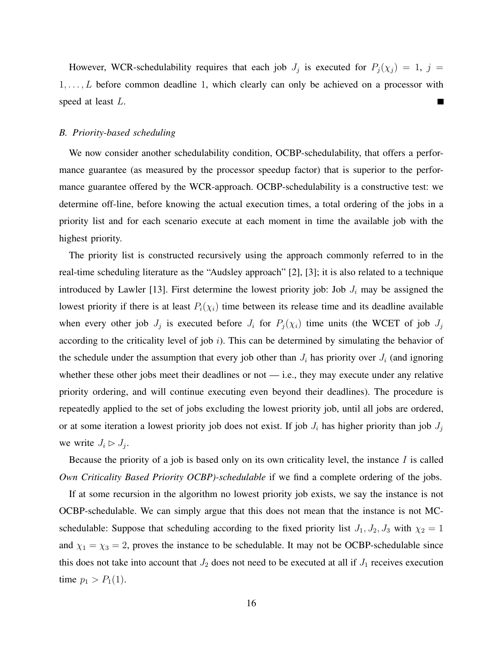However, WCR-schedulability requires that each job  $J_j$  is executed for  $P_j(\chi_j) = 1$ ,  $j =$  $1, \ldots, L$  before common deadline 1, which clearly can only be achieved on a processor with speed at least L.  $\blacksquare$ 

#### *B. Priority-based scheduling*

We now consider another schedulability condition, OCBP-schedulability, that offers a performance guarantee (as measured by the processor speedup factor) that is superior to the performance guarantee offered by the WCR-approach. OCBP-schedulability is a constructive test: we determine off-line, before knowing the actual execution times, a total ordering of the jobs in a priority list and for each scenario execute at each moment in time the available job with the highest priority.

The priority list is constructed recursively using the approach commonly referred to in the real-time scheduling literature as the "Audsley approach" [2], [3]; it is also related to a technique introduced by Lawler [13]. First determine the lowest priority job: Job  $J_i$  may be assigned the lowest priority if there is at least  $P_i(\chi_i)$  time between its release time and its deadline available when every other job  $J_j$  is executed before  $J_i$  for  $P_j(\chi_i)$  time units (the WCET of job  $J_j$ according to the criticality level of job  $i$ ). This can be determined by simulating the behavior of the schedule under the assumption that every job other than  $J_i$  has priority over  $J_i$  (and ignoring whether these other jobs meet their deadlines or not — i.e., they may execute under any relative priority ordering, and will continue executing even beyond their deadlines). The procedure is repeatedly applied to the set of jobs excluding the lowest priority job, until all jobs are ordered, or at some iteration a lowest priority job does not exist. If job  $J_i$  has higher priority than job  $J_j$ we write  $J_i \triangleright J_j$ .

Because the priority of a job is based only on its own criticality level, the instance  $I$  is called *Own Criticality Based Priority OCBP)-schedulable* if we find a complete ordering of the jobs.

If at some recursion in the algorithm no lowest priority job exists, we say the instance is not OCBP-schedulable. We can simply argue that this does not mean that the instance is not MCschedulable: Suppose that scheduling according to the fixed priority list  $J_1, J_2, J_3$  with  $\chi_2 = 1$ and  $\chi_1 = \chi_3 = 2$ , proves the instance to be schedulable. It may not be OCBP-schedulable since this does not take into account that  $J_2$  does not need to be executed at all if  $J_1$  receives execution time  $p_1 > P_1(1)$ .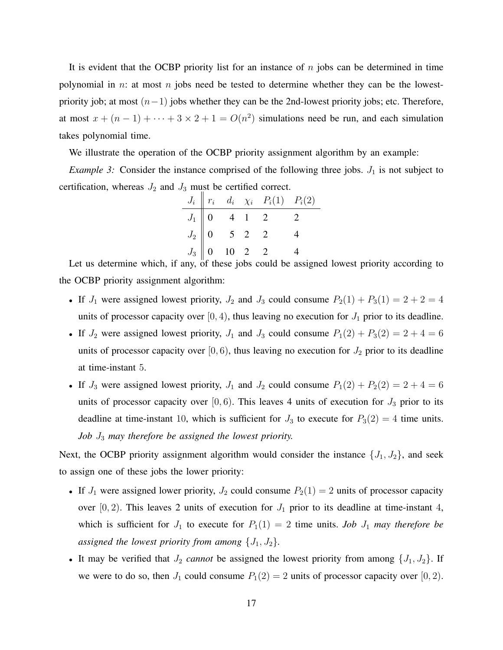It is evident that the OCBP priority list for an instance of  $n$  jobs can be determined in time polynomial in n: at most n jobs need be tested to determine whether they can be the lowestpriority job; at most  $(n-1)$  jobs whether they can be the 2nd-lowest priority jobs; etc. Therefore, at most  $x + (n-1) + \cdots + 3 \times 2 + 1 = O(n^2)$  simulations need be run, and each simulation takes polynomial time.

We illustrate the operation of the OCBP priority assignment algorithm by an example:

*Example 3:* Consider the instance comprised of the following three jobs.  $J_1$  is not subject to certification, whereas  $J_2$  and  $J_3$  must be certified correct.

|  |  | $J_i \parallel r_i \quad d_i \quad \chi_i \quad P_i(1) \quad P_i(2)$ |  |
|--|--|----------------------------------------------------------------------|--|
|  |  | $J_1$ 0 4 1 2<br>$J_2$ 0 5 2 2<br>$J_3$ 0 10 2 2                     |  |
|  |  |                                                                      |  |
|  |  |                                                                      |  |

Let us determine which, if any, of these jobs could be assigned lowest priority according to the OCBP priority assignment algorithm:

- If  $J_1$  were assigned lowest priority,  $J_2$  and  $J_3$  could consume  $P_2(1) + P_3(1) = 2 + 2 = 4$ units of processor capacity over  $[0, 4)$ , thus leaving no execution for  $J_1$  prior to its deadline.
- If  $J_2$  were assigned lowest priority,  $J_1$  and  $J_3$  could consume  $P_1(2) + P_3(2) = 2 + 4 = 6$ units of processor capacity over [0, 6), thus leaving no execution for  $J_2$  prior to its deadline at time-instant 5.
- If  $J_3$  were assigned lowest priority,  $J_1$  and  $J_2$  could consume  $P_1(2) + P_2(2) = 2 + 4 = 6$ units of processor capacity over [0, 6). This leaves 4 units of execution for  $J_3$  prior to its deadline at time-instant 10, which is sufficient for  $J_3$  to execute for  $P_3(2) = 4$  time units. *Job* J<sup>3</sup> *may therefore be assigned the lowest priority.*

Next, the OCBP priority assignment algorithm would consider the instance  $\{J_1, J_2\}$ , and seek to assign one of these jobs the lower priority:

- If  $J_1$  were assigned lower priority,  $J_2$  could consume  $P_2(1) = 2$  units of processor capacity over  $[0, 2)$ . This leaves 2 units of execution for  $J_1$  prior to its deadline at time-instant 4, which is sufficient for  $J_1$  to execute for  $P_1(1) = 2$  time units. *Job*  $J_1$  *may therefore be assigned the lowest priority from among*  $\{J_1, J_2\}$ *.*
- It may be verified that  $J_2$  *cannot* be assigned the lowest priority from among  $\{J_1, J_2\}$ . If we were to do so, then  $J_1$  could consume  $P_1(2) = 2$  units of processor capacity over [0, 2).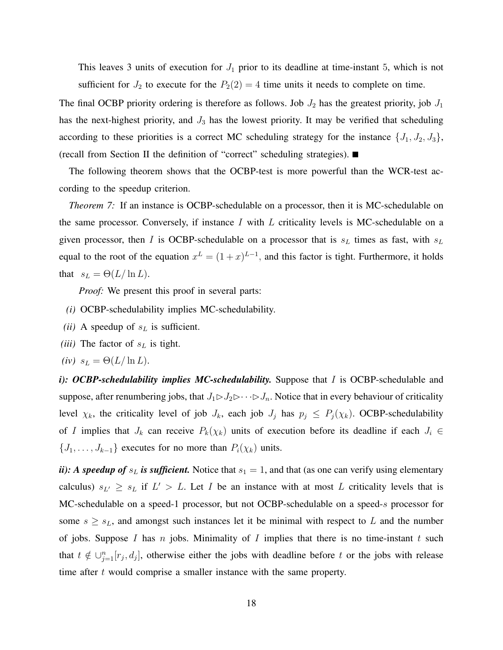This leaves 3 units of execution for  $J_1$  prior to its deadline at time-instant 5, which is not sufficient for  $J_2$  to execute for the  $P_2(2) = 4$  time units it needs to complete on time.

The final OCBP priority ordering is therefore as follows. Job  $J_2$  has the greatest priority, job  $J_1$ has the next-highest priority, and  $J_3$  has the lowest priority. It may be verified that scheduling according to these priorities is a correct MC scheduling strategy for the instance  $\{J_1, J_2, J_3\}$ , (recall from Section II the definition of "correct" scheduling strategies).

The following theorem shows that the OCBP-test is more powerful than the WCR-test according to the speedup criterion.

*Theorem 7:* If an instance is OCBP-schedulable on a processor, then it is MC-schedulable on the same processor. Conversely, if instance I with L criticality levels is MC-schedulable on a given processor, then I is OCBP-schedulable on a processor that is  $s_L$  times as fast, with  $s_L$ equal to the root of the equation  $x^L = (1+x)^{L-1}$ , and this factor is tight. Furthermore, it holds that  $s_L = \Theta(L/\ln L)$ .

*Proof:* We present this proof in several parts:

- *(i)* OCBP-schedulability implies MC-schedulability.
- *(ii)* A speedup of  $s_L$  is sufficient.
- *(iii)* The factor of  $s_L$  is tight.
- $(iv)$   $s_L = \Theta(L/\ln L)$ .

*i*): OCBP-schedulability implies MC-schedulability. Suppose that *I* is OCBP-schedulable and suppose, after renumbering jobs, that  $J_1 \triangleright J_2 \triangleright \cdots \triangleright J_n$ . Notice that in every behaviour of criticality level  $\chi_k$ , the criticality level of job  $J_k$ , each job  $J_j$  has  $p_j \leq P_j(\chi_k)$ . OCBP-schedulability of I implies that  $J_k$  can receive  $P_k(\chi_k)$  units of execution before its deadline if each  $J_i \in$  $\{J_1, \ldots, J_{k-1}\}\)$  executes for no more than  $P_i(\chi_k)$  units.

*ii): A speedup of*  $s<sub>L</sub>$  *is sufficient.* Notice that  $s<sub>1</sub> = 1$ , and that (as one can verify using elementary calculus)  $s_{L'} \geq s_L$  if  $L' > L$ . Let I be an instance with at most L criticality levels that is MC-schedulable on a speed-1 processor, but not OCBP-schedulable on a speed-s processor for some  $s \geq s_L$ , and amongst such instances let it be minimal with respect to L and the number of jobs. Suppose I has n jobs. Minimality of I implies that there is no time-instant t such that  $t \notin \bigcup_{j=1}^n [r_j, d_j]$ , otherwise either the jobs with deadline before t or the jobs with release time after t would comprise a smaller instance with the same property.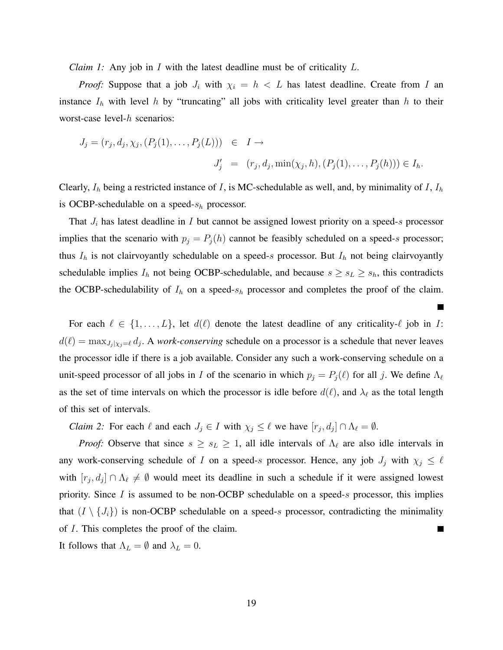*Claim 1:* Any job in *I* with the latest deadline must be of criticality *L*.

*Proof:* Suppose that a job  $J_i$  with  $\chi_i = h \langle L \rangle$  has latest deadline. Create from I an instance  $I_h$  with level h by "truncating" all jobs with criticality level greater than h to their worst-case level-h scenarios:

$$
J_j = (r_j, d_j, \chi_j, (P_j(1), \dots, P_j(L))) \in I \to
$$
  

$$
J'_j = (r_j, d_j, \min(\chi_j, h), (P_j(1), \dots, P_j(h))) \in I_h.
$$

Clearly,  $I_h$  being a restricted instance of I, is MC-schedulable as well, and, by minimality of I,  $I_h$ is OCBP-schedulable on a speed- $s_h$  processor.

That  $J_i$  has latest deadline in I but cannot be assigned lowest priority on a speed-s processor implies that the scenario with  $p_j = P_j(h)$  cannot be feasibly scheduled on a speed-s processor; thus  $I_h$  is not clairvoyantly schedulable on a speed-s processor. But  $I_h$  not being clairvoyantly schedulable implies  $I_h$  not being OCBP-schedulable, and because  $s \geq s_L \geq s_h$ , this contradicts the OCBP-schedulability of  $I_h$  on a speed- $s_h$  processor and completes the proof of the claim.

L.

For each  $\ell \in \{1, \ldots, L\}$ , let  $d(\ell)$  denote the latest deadline of any criticality- $\ell$  job in I:  $d(\ell) = \max_{J_j | \chi_j = \ell} d_j$ . A *work-conserving* schedule on a processor is a schedule that never leaves the processor idle if there is a job available. Consider any such a work-conserving schedule on a unit-speed processor of all jobs in I of the scenario in which  $p_j = P_j(\ell)$  for all j. We define  $\Lambda_\ell$ as the set of time intervals on which the processor is idle before  $d(\ell)$ , and  $\lambda_{\ell}$  as the total length of this set of intervals.

*Claim 2:* For each  $\ell$  and each  $J_j \in I$  with  $\chi_j \leq \ell$  we have  $[r_j, d_j] \cap \Lambda_\ell = \emptyset$ .

*Proof:* Observe that since  $s \geq s_L \geq 1$ , all idle intervals of  $\Lambda_\ell$  are also idle intervals in any work-conserving schedule of I on a speed-s processor. Hence, any job  $J_j$  with  $\chi_j \leq \ell$ with  $[r_j, d_j] \cap \Lambda_\ell \neq \emptyset$  would meet its deadline in such a schedule if it were assigned lowest priority. Since  $I$  is assumed to be non-OCBP schedulable on a speed- $s$  processor, this implies that  $(I \setminus \{J_i\})$  is non-OCBP schedulable on a speed-s processor, contradicting the minimality of I. This completes the proof of the claim. ×

It follows that  $\Lambda_L = \emptyset$  and  $\lambda_L = 0$ .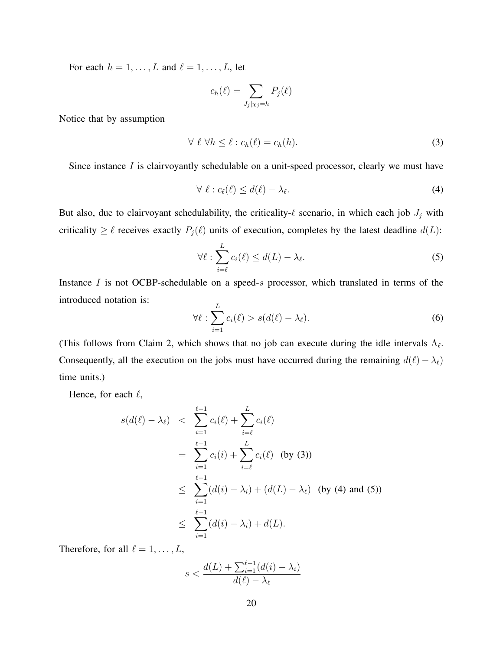For each  $h = 1, \ldots, L$  and  $\ell = 1, \ldots, L$ , let

$$
c_h(\ell) = \sum_{J_j|\chi_j=h} P_j(\ell)
$$

Notice that by assumption

$$
\forall \ell \ \forall h \leq \ell : c_h(\ell) = c_h(h). \tag{3}
$$

Since instance I is clairvoyantly schedulable on a unit-speed processor, clearly we must have

$$
\forall \ell : c_{\ell}(\ell) \leq d(\ell) - \lambda_{\ell}.\tag{4}
$$

But also, due to clairvoyant schedulability, the criticality- $\ell$  scenario, in which each job  $J_j$  with criticality  $\geq \ell$  receives exactly  $P_j(\ell)$  units of execution, completes by the latest deadline  $d(L)$ :

$$
\forall \ell : \sum_{i=\ell}^{L} c_i(\ell) \leq d(L) - \lambda_{\ell}.
$$
 (5)

Instance  $I$  is not OCBP-schedulable on a speed- $s$  processor, which translated in terms of the introduced notation is:

$$
\forall \ell : \sum_{i=1}^{L} c_i(\ell) > s(d(\ell) - \lambda_\ell). \tag{6}
$$

(This follows from Claim 2, which shows that no job can execute during the idle intervals  $\Lambda_{\ell}$ . Consequently, all the execution on the jobs must have occurred during the remaining  $d(\ell) - \lambda_{\ell}$ ) time units.)

Hence, for each  $\ell$ ,

$$
s(d(\ell) - \lambda_{\ell}) < \sum_{i=1}^{\ell-1} c_i(\ell) + \sum_{i=\ell}^{L} c_i(\ell)
$$
  
= 
$$
\sum_{i=1}^{\ell-1} c_i(i) + \sum_{i=\ell}^{L} c_i(\ell) \text{ (by (3))}
$$
  

$$
\leq \sum_{i=1}^{\ell-1} (d(i) - \lambda_i) + (d(L) - \lambda_{\ell}) \text{ (by (4) and (5))}
$$
  

$$
\leq \sum_{i=1}^{\ell-1} (d(i) - \lambda_i) + d(L).
$$

Therefore, for all  $\ell = 1, \ldots, L$ ,

$$
s < \frac{d(L) + \sum_{i=1}^{\ell-1} (d(i) - \lambda_i)}{d(\ell) - \lambda_\ell}
$$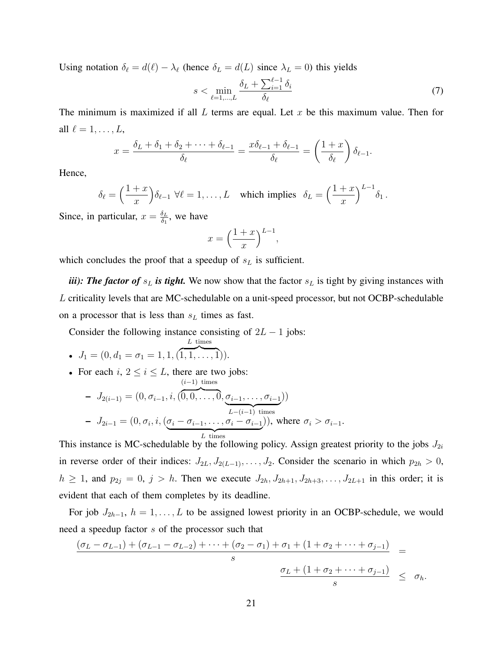Using notation  $\delta_\ell = d(\ell) - \lambda_\ell$  (hence  $\delta_L = d(L)$  since  $\lambda_L = 0$ ) this yields

$$
s < \min_{\ell=1,\dots,L} \frac{\delta_L + \sum_{i=1}^{\ell-1} \delta_i}{\delta_\ell} \tag{7}
$$

The minimum is maximized if all L terms are equal. Let x be this maximum value. Then for all  $\ell = 1, \ldots, L$ ,

$$
x = \frac{\delta_L + \delta_1 + \delta_2 + \dots + \delta_{\ell-1}}{\delta_{\ell}} = \frac{x\delta_{\ell-1} + \delta_{\ell-1}}{\delta_{\ell}} = \left(\frac{1+x}{\delta_{\ell}}\right)\delta_{\ell-1}.
$$

Hence,

$$
\delta_{\ell} = \left(\frac{1+x}{x}\right) \delta_{\ell-1} \ \forall \ell = 1,\ldots,L \quad \text{which implies} \quad \delta_L = \left(\frac{1+x}{x}\right)^{L-1} \delta_1 \,.
$$

Since, in particular,  $x = \frac{\delta_L}{\delta_1}$  $\frac{\delta_L}{\delta_1}$ , we have

$$
x = \left(\frac{1+x}{x}\right)^{L-1},
$$

which concludes the proof that a speedup of  $s<sub>L</sub>$  is sufficient.

*iii): The factor of*  $s_L$  *is tight.* We now show that the factor  $s_L$  is tight by giving instances with L criticality levels that are MC-schedulable on a unit-speed processor, but not OCBP-schedulable on a processor that is less than  $s<sub>L</sub>$  times as fast.

Consider the following instance consisting of  $2L - 1$  jobs: L times

• 
$$
J_1 = (0, d_1 = \sigma_1 = 1, 1, (1, 1, \ldots, 1)).
$$

• For each  $i, 2 \le i \le L$ , there are two jobs:  $-J_{2(i-1)}=(0,\sigma_{i-1},i,$  $(i-1)$  times  $\overbrace{0,0,\ldots,0}^{\sigma, \sigma, \ldots}, \sigma_{i-1},\ldots,\sigma_{i-1}$  $L-(i-1)$  times ))  $- J_{2i-1} = (0, \sigma_i, i, (\sigma_i - \sigma_{i-1}, \ldots, \sigma_i - \sigma_{i-1})$  $L$  times )), where  $\sigma_i > \sigma_{i-1}$ .

This instance is MC-schedulable by the following policy. Assign greatest priority to the jobs  $J_{2i}$ in reverse order of their indices:  $J_{2L}$ ,  $J_{2(L-1)}$ , ...,  $J_2$ . Consider the scenario in which  $p_{2h} > 0$ ,  $h \geq 1$ , and  $p_{2j} = 0$ ,  $j > h$ . Then we execute  $J_{2h}, J_{2h+1}, J_{2h+3}, \ldots, J_{2L+1}$  in this order; it is evident that each of them completes by its deadline.

For job  $J_{2h-1}$ ,  $h = 1, \ldots, L$  to be assigned lowest priority in an OCBP-schedule, we would need a speedup factor s of the processor such that

$$
\frac{(\sigma_L - \sigma_{L-1}) + (\sigma_{L-1} - \sigma_{L-2}) + \dots + (\sigma_2 - \sigma_1) + \sigma_1 + (1 + \sigma_2 + \dots + \sigma_{j-1})}{s} =
$$
  

$$
\frac{\sigma_L + (1 + \sigma_2 + \dots + \sigma_{j-1})}{s} \leq \sigma_h.
$$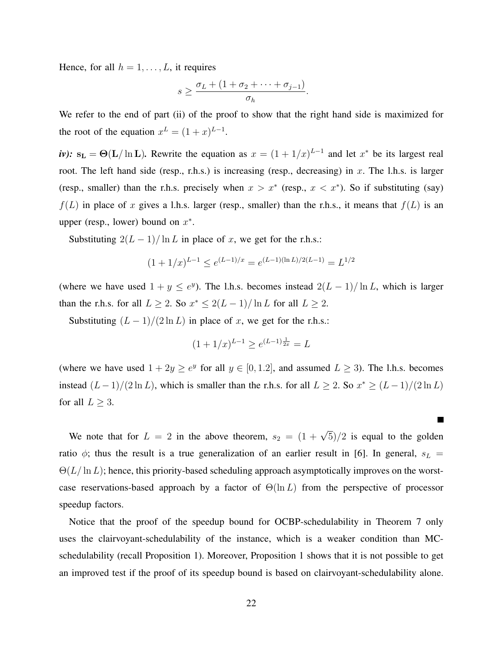Hence, for all  $h = 1, \ldots, L$ , it requires

$$
s \ge \frac{\sigma_L + (1 + \sigma_2 + \dots + \sigma_{j-1})}{\sigma_h}
$$

We refer to the end of part (ii) of the proof to show that the right hand side is maximized for the root of the equation  $x^L = (1+x)^{L-1}$ .

.

*iv*):  $s_L = \Theta(L/\ln L)$ . Rewrite the equation as  $x = (1 + 1/x)^{L-1}$  and let  $x^*$  be its largest real root. The left hand side (resp., r.h.s.) is increasing (resp., decreasing) in  $x$ . The l.h.s. is larger (resp., smaller) than the r.h.s. precisely when  $x > x^*$  (resp.,  $x < x^*$ ). So if substituting (say)  $f(L)$  in place of x gives a l.h.s. larger (resp., smaller) than the r.h.s., it means that  $f(L)$  is an upper (resp., lower) bound on  $x^*$ .

Substituting  $2(L-1)/\ln L$  in place of x, we get for the r.h.s.:

$$
(1 + 1/x)^{L-1} \le e^{(L-1)/x} = e^{(L-1)(\ln L)/2(L-1)} = L^{1/2}
$$

(where we have used  $1 + y \le e^y$ ). The l.h.s. becomes instead  $2(L-1)/\ln L$ , which is larger than the r.h.s. for all  $L \ge 2$ . So  $x^* \le 2(L-1)/\ln L$  for all  $L \ge 2$ .

Substituting  $(L - 1)/(2 \ln L)$  in place of x, we get for the r.h.s.:

$$
(1 + 1/x)^{L-1} \ge e^{(L-1)\frac{1}{2x}} = L
$$

(where we have used  $1 + 2y \ge e^y$  for all  $y \in [0, 1.2]$ , and assumed  $L \ge 3$ ). The l.h.s. becomes instead  $(L-1)/(2 \ln L)$ , which is smaller than the r.h.s. for all  $L \ge 2$ . So  $x^* \ge (L-1)/(2 \ln L)$ for all  $L \geq 3$ .

 $\blacksquare$ 

We note that for  $L = 2$  in the above theorem,  $s_2 = (1 + \sqrt{5})/2$  is equal to the golden ratio  $\phi$ ; thus the result is a true generalization of an earlier result in [6]. In general,  $s_L$  =  $\Theta(L/\ln L)$ ; hence, this priority-based scheduling approach asymptotically improves on the worstcase reservations-based approach by a factor of  $\Theta(\ln L)$  from the perspective of processor speedup factors.

Notice that the proof of the speedup bound for OCBP-schedulability in Theorem 7 only uses the clairvoyant-schedulability of the instance, which is a weaker condition than MCschedulability (recall Proposition 1). Moreover, Proposition 1 shows that it is not possible to get an improved test if the proof of its speedup bound is based on clairvoyant-schedulability alone.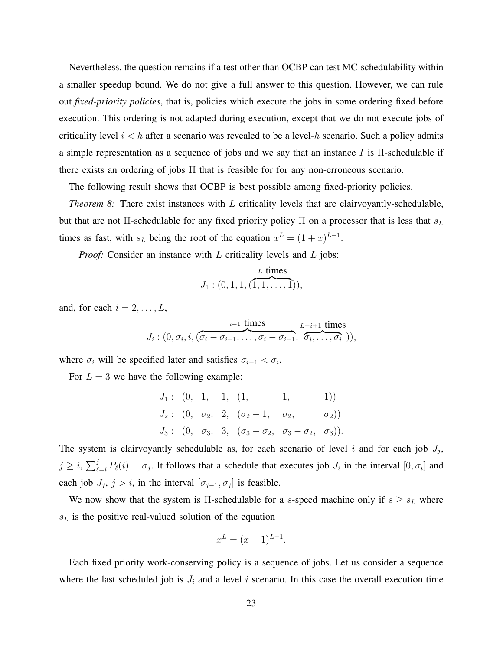Nevertheless, the question remains if a test other than OCBP can test MC-schedulability within a smaller speedup bound. We do not give a full answer to this question. However, we can rule out *fixed-priority policies*, that is, policies which execute the jobs in some ordering fixed before execution. This ordering is not adapted during execution, except that we do not execute jobs of criticality level  $i < h$  after a scenario was revealed to be a level-h scenario. Such a policy admits a simple representation as a sequence of jobs and we say that an instance I is  $\Pi$ -schedulable if there exists an ordering of jobs Π that is feasible for for any non-erroneous scenario.

The following result shows that OCBP is best possible among fixed-priority policies.

*Theorem 8:* There exist instances with L criticality levels that are clairvoyantly-schedulable, but that are not Π-schedulable for any fixed priority policy  $\Pi$  on a processor that is less that  $s<sub>L</sub>$ times as fast, with  $s_L$  being the root of the equation  $x^L = (1+x)^{L-1}$ .

*Proof:* Consider an instance with L criticality levels and L jobs:

$$
J_1: (0, 1, 1, (\overbrace{1, 1, \ldots, 1}^{L \text{ times}})),
$$

and, for each  $i = 2, \ldots, L$ ,

$$
J_i:(0,\sigma_i,i,(\overbrace{\sigma_i-\sigma_{i-1},\ldots,\sigma_i-\sigma_{i-1}}^{i-1}\overbrace{\sigma_i,\ldots,\sigma_i}^{L-i+1})
$$

where  $\sigma_i$  will be specified later and satisfies  $\sigma_{i-1} < \sigma_i$ .

For  $L = 3$  we have the following example:

$$
J_1
$$
: (0, 1, 1, (1, 1, 1))  
\n $J_2$ : (0,  $\sigma_2$ , 2, ( $\sigma_2$  - 1,  $\sigma_2$ ,  $\sigma_2$ ))  
\n $J_3$ : (0,  $\sigma_3$ , 3, ( $\sigma_3$  -  $\sigma_2$ ,  $\sigma_3$  -  $\sigma_2$ ,  $\sigma_3$ )).

The system is clairvoyantly schedulable as, for each scenario of level i and for each job  $J_j$ ,  $j \geq i$ ,  $\sum_{\ell=i}^{j} P_{\ell}(i) = \sigma_j$ . It follows that a schedule that executes job  $J_i$  in the interval  $[0, \sigma_i]$  and each job  $J_j$ ,  $j > i$ , in the interval  $[\sigma_{j-1}, \sigma_j]$  is feasible.

We now show that the system is  $\Pi$ -schedulable for a s-speed machine only if  $s \geq s_L$  where  $s_L$  is the positive real-valued solution of the equation

$$
x^L = (x+1)^{L-1}.
$$

Each fixed priority work-conserving policy is a sequence of jobs. Let us consider a sequence where the last scheduled job is  $J_i$  and a level i scenario. In this case the overall execution time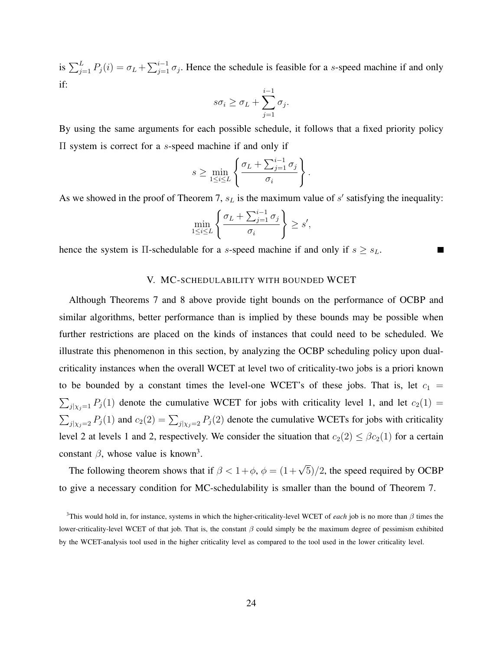is  $\sum_{j=1}^{L} P_j(i) = \sigma_L + \sum_{j=1}^{i-1} \sigma_j$ . Hence the schedule is feasible for a s-speed machine if and only if:

$$
s\sigma_i \geq \sigma_L + \sum_{j=1}^{i-1} \sigma_j.
$$

By using the same arguments for each possible schedule, it follows that a fixed priority policy Π system is correct for a s-speed machine if and only if

$$
s \ge \min_{1 \le i \le L} \left\{ \frac{\sigma_L + \sum_{j=1}^{i-1} \sigma_j}{\sigma_i} \right\}.
$$

As we showed in the proof of Theorem 7,  $s_L$  is the maximum value of  $s'$  satisfying the inequality:

$$
\min_{1 \le i \le L} \left\{ \frac{\sigma_L + \sum_{j=1}^{i-1} \sigma_j}{\sigma_i} \right\} \ge s',
$$

п

hence the system is  $\Pi$ -schedulable for a s-speed machine if and only if  $s \geq s_L$ .

#### V. MC-SCHEDULABILITY WITH BOUNDED WCET

Although Theorems 7 and 8 above provide tight bounds on the performance of OCBP and similar algorithms, better performance than is implied by these bounds may be possible when further restrictions are placed on the kinds of instances that could need to be scheduled. We illustrate this phenomenon in this section, by analyzing the OCBP scheduling policy upon dualcriticality instances when the overall WCET at level two of criticality-two jobs is a priori known to be bounded by a constant times the level-one WCET's of these jobs. That is, let  $c_1$  =  $\sum_{j|x_j=1} P_j(1)$  denote the cumulative WCET for jobs with criticality level 1, and let  $c_2(1)$  =  $\sum_{j|x_j=2} P_j(1)$  and  $c_2(2) = \sum_{j|x_j=2} P_j(2)$  denote the cumulative WCETs for jobs with criticality level 2 at levels 1 and 2, respectively. We consider the situation that  $c_2(2) \leq \beta c_2(1)$  for a certain constant  $\beta$ , whose value is known<sup>3</sup>.

The following theorem shows that if  $\beta < 1 + \phi$ ,  $\phi = (1 + \sqrt{5})/2$ , the speed required by OCBP to give a necessary condition for MC-schedulability is smaller than the bound of Theorem 7.

<sup>&</sup>lt;sup>3</sup>This would hold in, for instance, systems in which the higher-criticality-level WCET of *each* job is no more than  $\beta$  times the lower-criticality-level WCET of that job. That is, the constant  $\beta$  could simply be the maximum degree of pessimism exhibited by the WCET-analysis tool used in the higher criticality level as compared to the tool used in the lower criticality level.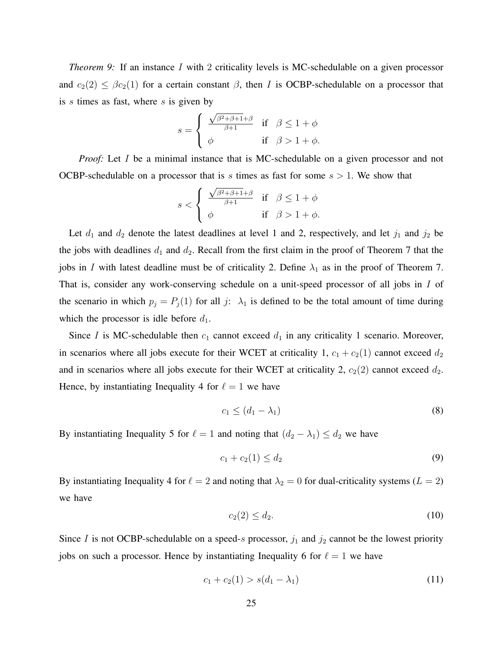*Theorem 9:* If an instance *I* with 2 criticality levels is MC-schedulable on a given processor and  $c_2(2) \leq \beta c_2(1)$  for a certain constant  $\beta$ , then I is OCBP-schedulable on a processor that is  $s$  times as fast, where  $s$  is given by

$$
s = \begin{cases} \frac{\sqrt{\beta^2 + \beta + 1} + \beta}{\beta + 1} & \text{if } \beta \le 1 + \phi \\ \phi & \text{if } \beta > 1 + \phi. \end{cases}
$$

*Proof:* Let I be a minimal instance that is MC-schedulable on a given processor and not OCBP-schedulable on a processor that is s times as fast for some  $s > 1$ . We show that

$$
s < \begin{cases} \frac{\sqrt{\beta^2 + \beta + 1} + \beta}{\beta + 1} & \text{if } \beta \le 1 + \phi \\ \phi & \text{if } \beta > 1 + \phi. \end{cases}
$$

Let  $d_1$  and  $d_2$  denote the latest deadlines at level 1 and 2, respectively, and let  $j_1$  and  $j_2$  be the jobs with deadlines  $d_1$  and  $d_2$ . Recall from the first claim in the proof of Theorem 7 that the jobs in I with latest deadline must be of criticality 2. Define  $\lambda_1$  as in the proof of Theorem 7. That is, consider any work-conserving schedule on a unit-speed processor of all jobs in I of the scenario in which  $p_i = P_i(1)$  for all j:  $\lambda_1$  is defined to be the total amount of time during which the processor is idle before  $d_1$ .

Since I is MC-schedulable then  $c_1$  cannot exceed  $d_1$  in any criticality 1 scenario. Moreover, in scenarios where all jobs execute for their WCET at criticality 1,  $c_1 + c_2(1)$  cannot exceed  $d_2$ and in scenarios where all jobs execute for their WCET at criticality 2,  $c_2(2)$  cannot exceed  $d_2$ . Hence, by instantiating Inequality 4 for  $\ell = 1$  we have

$$
c_1 \le (d_1 - \lambda_1) \tag{8}
$$

By instantiating Inequality 5 for  $\ell = 1$  and noting that  $(d_2 - \lambda_1) \leq d_2$  we have

$$
c_1 + c_2(1) \le d_2 \tag{9}
$$

By instantiating Inequality 4 for  $\ell = 2$  and noting that  $\lambda_2 = 0$  for dual-criticality systems ( $L = 2$ ) we have

$$
c_2(2) \le d_2. \tag{10}
$$

Since I is not OCBP-schedulable on a speed-s processor,  $j_1$  and  $j_2$  cannot be the lowest priority jobs on such a processor. Hence by instantiating Inequality 6 for  $\ell = 1$  we have

$$
c_1 + c_2(1) > s(d_1 - \lambda_1) \tag{11}
$$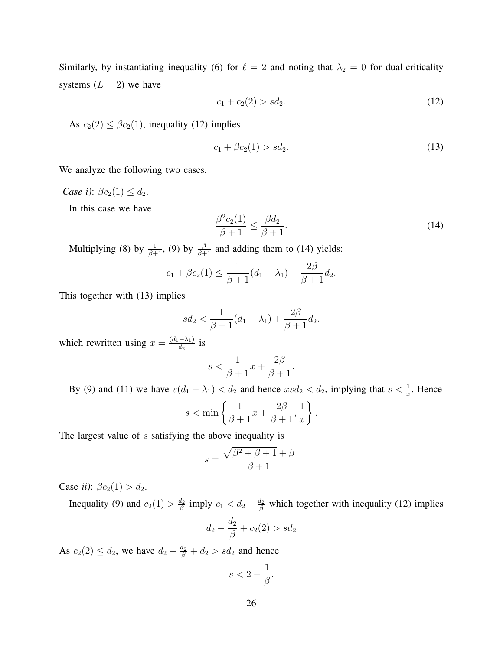Similarly, by instantiating inequality (6) for  $\ell = 2$  and noting that  $\lambda_2 = 0$  for dual-criticality systems  $(L = 2)$  we have

$$
c_1 + c_2(2) > sd_2. \t\t(12)
$$

As  $c_2(2) \le \beta c_2(1)$ , inequality (12) implies

$$
c_1 + \beta c_2(1) > sd_2. \tag{13}
$$

We analyze the following two cases.

*Case i)*:  $\beta c_2(1) \leq d_2$ .

In this case we have

$$
\frac{\beta^2 c_2(1)}{\beta + 1} \le \frac{\beta d_2}{\beta + 1}.\tag{14}
$$

Multiplying (8) by  $\frac{1}{\beta+1}$ , (9) by  $\frac{\beta}{\beta+1}$  and adding them to (14) yields:

$$
c_1 + \beta c_2(1) \le \frac{1}{\beta + 1}(d_1 - \lambda_1) + \frac{2\beta}{\beta + 1}d_2.
$$

This together with (13) implies

$$
sd_2 < \frac{1}{\beta+1}(d_1 - \lambda_1) + \frac{2\beta}{\beta+1}d_2.
$$

which rewritten using  $x = \frac{(d_1 - \lambda_1)}{d_0}$  $\frac{-\lambda_1}{d_2}$  is

$$
s < \frac{1}{\beta + 1}x + \frac{2\beta}{\beta + 1}.
$$

By (9) and (11) we have  $s(d_1 - \lambda_1) < d_2$  and hence  $xsd_2 < d_2$ , implying that  $s < \frac{1}{x}$ . Hence

$$
s < \min\left\{\frac{1}{\beta+1}x + \frac{2\beta}{\beta+1}, \frac{1}{x}\right\}.
$$

The largest value of  $s$  satisfying the above inequality is

$$
s = \frac{\sqrt{\beta^2 + \beta + 1} + \beta}{\beta + 1}.
$$

Case *ii*):  $\beta c_2(1) > d_2$ .

Inequality (9) and  $c_2(1) > \frac{d_2}{\beta}$  $\frac{d_2}{\beta}$  imply  $c_1 < d_2 - \frac{d_2}{\beta}$  which together with inequality (12) implies

$$
d_2 - \frac{d_2}{\beta} + c_2(2) > sd_2
$$

As  $c_2(2) \leq d_2$ , we have  $d_2 - \frac{d_2}{\beta} + d_2 > sd_2$  and hence

$$
s<2-\frac{1}{\beta}.
$$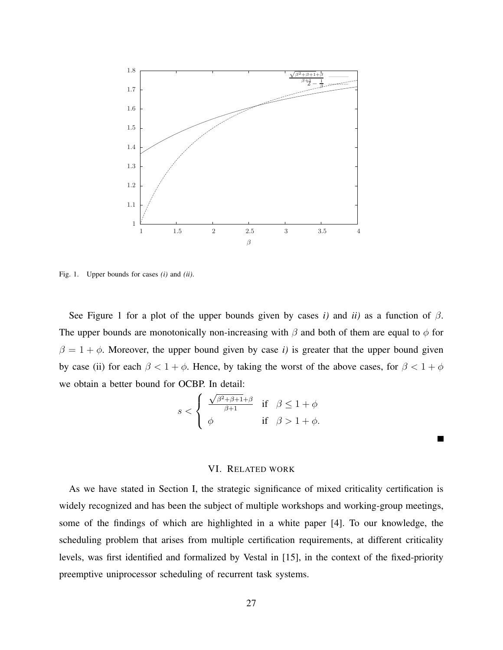

Fig. 1. Upper bounds for cases *(i)* and *(ii)*.

 $\mathbf{b} = \mathbf{b} + \mathbf{b}$  ,  $\mathbf{b} = \mathbf{b} + \mathbf{b}$  ,  $\mathbf{b} = \mathbf{b} + \mathbf{b}$  ,  $\mathbf{b} = \mathbf{b} + \mathbf{b}$  ,  $\mathbf{b} = \mathbf{b} + \mathbf{b}$  ,  $\mathbf{b} = \mathbf{b} + \mathbf{b}$  ,  $\mathbf{b} = \mathbf{b} + \mathbf{b}$  ,  $\mathbf{b} = \mathbf{b} + \mathbf{b}$  ,  $\mathbf{b} = \mathbf{b} + \mathbf{b}$ igure 1 for a plot of the upper bounds given by cases  $i$ ) and  $ii$ ) as  $\epsilon$ , bounds one monotonically non-increasing with  $\theta$  and both of them of  $\mathcal{L}$  bounds are monotomerper bound given by case  $i$ ) lence, by taking the wo we obtain a better bound for OCBP. In detail: The upper bounds are monotonically non-increasing with  $\beta$  and both of them are equal to  $\phi$  for  $\mathfrak{u}$   $\mathfrak{g}$ en , ca See Figure 1 for a plot of the upper bounds given by cases *i*) and *ii*) as a function of  $\beta$ .  $\beta = 1 + \phi$ . Moreover, the upper bound given by case *i*) is greater that the upper bound given  $\frac{6}{5}$  by taking the w  $\overline{a}$ by case (ii) for each  $\beta < 1 + \phi$ . Hence, by taking the worst of the above cases, for  $\beta < 1 + \phi$ 

$$
s < \begin{cases} \frac{\sqrt{\beta^2 + \beta + 1} + \beta}{\beta + 1} & \text{if } \beta \le 1 + \phi \\ \phi & \text{if } \beta > 1 + \phi. \end{cases}
$$

### 1 VI. RELATED WORK

П

mategic sig see Figure 1 for a plot the upper the upper the upper the upper species *i* deliver *ineeting*  $\mathcal{L}_{\text{max}}$  are  $\mathcal{L}_{\text{max}}$  and the monotonically  $\mathcal{L}_{\text{max}}$  and  $\mathcal{L}_{\text{max}}$  to  $\mathcal{L}_{\text{max}}$   $\mathcal{L}_{\text{max}}$   $\mathcal{L}_{\text{max}}$ some of the findings of which are highlighted in a white paper [4]. To our knowledge, the echeduling problem that arises from multiple certification requirements, at different criticality  $\sum_{i=1}^{n}$ levels, was first identified and formalized by Vestal in [15], in the context of the fixed-priority<br>preemptive uniprocessor scheduling of recurrent task systems. *Fecurrent task systems* preemptive uniprocessor scheduling of recurrent task systems. As we have stated in Section I, the strategic significance of mixed criticality certification is widely recognized and has been the subject of multiple workshops and working-group meetings, scheduling problem that arises from multiple certification requirements, at different criticality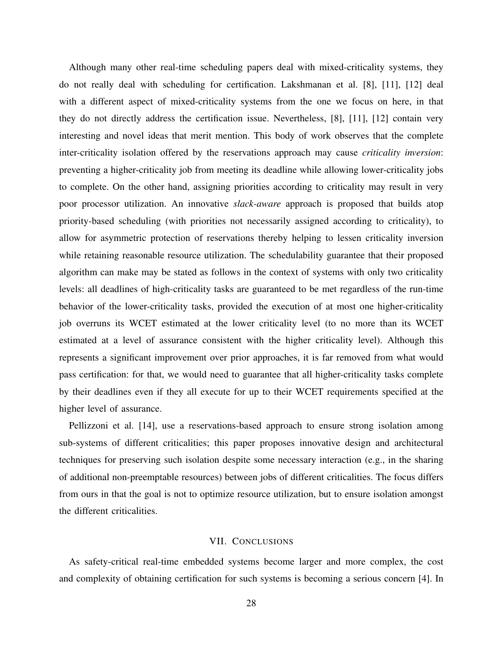Although many other real-time scheduling papers deal with mixed-criticality systems, they do not really deal with scheduling for certification. Lakshmanan et al. [8], [11], [12] deal with a different aspect of mixed-criticality systems from the one we focus on here, in that they do not directly address the certification issue. Nevertheless, [8], [11], [12] contain very interesting and novel ideas that merit mention. This body of work observes that the complete inter-criticality isolation offered by the reservations approach may cause *criticality inversion*: preventing a higher-criticality job from meeting its deadline while allowing lower-criticality jobs to complete. On the other hand, assigning priorities according to criticality may result in very poor processor utilization. An innovative *slack-aware* approach is proposed that builds atop priority-based scheduling (with priorities not necessarily assigned according to criticality), to allow for asymmetric protection of reservations thereby helping to lessen criticality inversion while retaining reasonable resource utilization. The schedulability guarantee that their proposed algorithm can make may be stated as follows in the context of systems with only two criticality levels: all deadlines of high-criticality tasks are guaranteed to be met regardless of the run-time behavior of the lower-criticality tasks, provided the execution of at most one higher-criticality job overruns its WCET estimated at the lower criticality level (to no more than its WCET estimated at a level of assurance consistent with the higher criticality level). Although this represents a significant improvement over prior approaches, it is far removed from what would pass certification: for that, we would need to guarantee that all higher-criticality tasks complete by their deadlines even if they all execute for up to their WCET requirements specified at the higher level of assurance.

Pellizzoni et al. [14], use a reservations-based approach to ensure strong isolation among sub-systems of different criticalities; this paper proposes innovative design and architectural techniques for preserving such isolation despite some necessary interaction (e.g., in the sharing of additional non-preemptable resources) between jobs of different criticalities. The focus differs from ours in that the goal is not to optimize resource utilization, but to ensure isolation amongst the different criticalities.

#### VII. CONCLUSIONS

As safety-critical real-time embedded systems become larger and more complex, the cost and complexity of obtaining certification for such systems is becoming a serious concern [4]. In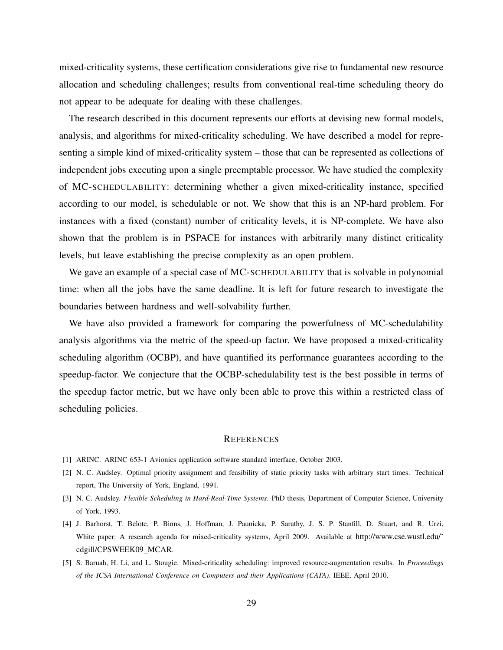mixed-criticality systems, these certification considerations give rise to fundamental new resource allocation and scheduling challenges; results from conventional real-time scheduling theory do not appear to be adequate for dealing with these challenges.

The research described in this document represents our efforts at devising new formal models, analysis, and algorithms for mixed-criticality scheduling. We have described a model for representing a simple kind of mixed-criticality system – those that can be represented as collections of independent jobs executing upon a single preemptable processor. We have studied the complexity of MC-SCHEDULABILITY: determining whether a given mixed-criticality instance, specified according to our model, is schedulable or not. We show that this is an NP-hard problem. For instances with a fixed (constant) number of criticality levels, it is NP-complete. We have also shown that the problem is in PSPACE for instances with arbitrarily many distinct criticality levels, but leave establishing the precise complexity as an open problem.

We gave an example of a special case of MC-SCHEDULABILITY that is solvable in polynomial time: when all the jobs have the same deadline. It is left for future research to investigate the boundaries between hardness and well-solvability further.

We have also provided a framework for comparing the powerfulness of MC-schedulability analysis algorithms via the metric of the speed-up factor. We have proposed a mixed-criticality scheduling algorithm (OCBP), and have quantified its performance guarantees according to the speedup-factor. We conjecture that the OCBP-schedulability test is the best possible in terms of the speedup factor metric, but we have only been able to prove this within a restricted class of scheduling policies.

#### **REFERENCES**

- [1] ARINC. ARINC 653-1 Avionics application software standard interface, October 2003.
- [2] N. C. Audsley. Optimal priority assignment and feasibility of static priority tasks with arbitrary start times. Technical report, The University of York, England, 1991.
- [3] N. C. Audsley. *Flexible Scheduling in Hard-Real-Time Systems*. PhD thesis, Department of Computer Science, University of York, 1993.
- [4] J. Barhorst, T. Belote, P. Binns, J. Hoffman, J. Paunicka, P. Sarathy, J. S. P. Stanfill, D. Stuart, and R. Urzi. White paper: A research agenda for mixed-criticality systems, April 2009. Available at http://www.cse.wustl.edu/ cdgill/CPSWEEK09 MCAR.
- [5] S. Baruah, H. Li, and L. Stougie. Mixed-criticality scheduling: improved resource-augmentation results. In *Proceedings of the ICSA International Conference on Computers and their Applications (CATA)*. IEEE, April 2010.